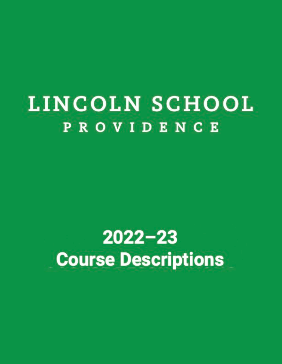# LINCOLN SCHOOL **PROVIDENCE**

# $2022 - 23$ **Course Descriptions**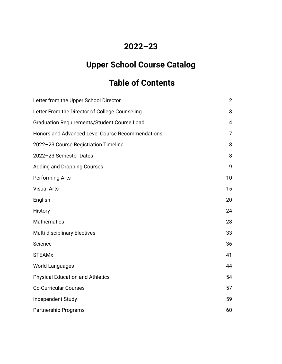# **2022–23**

# **Upper School Course Catalog**

# **Table of Contents**

| Letter from the Upper School Director              | $\overline{2}$ |
|----------------------------------------------------|----------------|
| Letter From the Director of College Counseling     | 3              |
| <b>Graduation Requirements/Student Course Load</b> | 4              |
| Honors and Advanced Level Course Recommendations   | $\overline{7}$ |
| 2022-23 Course Registration Timeline               | 8              |
| 2022-23 Semester Dates                             | 8              |
| <b>Adding and Dropping Courses</b>                 | 9              |
| <b>Performing Arts</b>                             | 10             |
| <b>Visual Arts</b>                                 | 15             |
| English                                            | 20             |
| History                                            | 24             |
| <b>Mathematics</b>                                 | 28             |
| <b>Multi-disciplinary Electives</b>                | 33             |
| Science                                            | 36             |
| <b>STEAMx</b>                                      | 41             |
| <b>World Languages</b>                             | 44             |
| <b>Physical Education and Athletics</b>            | 54             |
| <b>Co-Curricular Courses</b>                       | 57             |
| Independent Study                                  | 59             |
| <b>Partnership Programs</b>                        | 60             |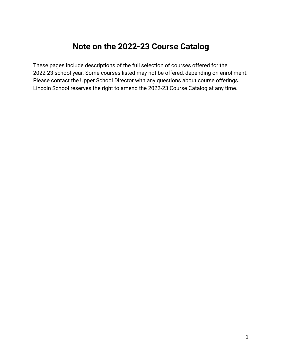# **Note on the 2022-23 Course Catalog**

These pages include descriptions of the full selection of courses offered for the 2022-23 school year. Some courses listed may not be offered, depending on enrollment. Please contact the Upper School Director with any questions about course offerings. Lincoln School reserves the right to amend the 2022-23 Course Catalog at any time.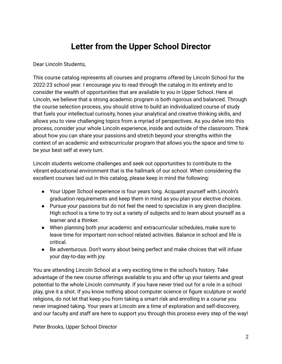# **Letter from the Upper School Director**

<span id="page-3-0"></span>Dear Lincoln Students,

This course catalog represents all courses and programs offered by Lincoln School for the 2022-23 school year. I encourage you to read through the catalog in its entirety and to consider the wealth of opportunities that are available to you in Upper School. Here at Lincoln, we believe that a strong academic program is both rigorous and balanced. Through the course selection process, you should strive to build an individualized course of study that fuels your intellectual curiosity, hones your analytical and creative thinking skills, and allows you to view challenging topics from a myriad of perspectives. As you delve into this process, consider your whole Lincoln experience, inside and outside of the classroom. Think about how you can share your passions and stretch beyond your strengths within the context of an academic and extracurricular program that allows you the space and time to be your best self at every turn.

Lincoln students welcome challenges and seek out opportunities to contribute to the vibrant educational environment that is the hallmark of our school. When considering the excellent courses laid out in this catalog, please keep in mind the following:

- Your Upper School experience is four years long. Acquaint yourself with Lincoln's graduation requirements and keep them in mind as you plan your elective choices.
- Pursue your passions but do not feel the need to specialize in any given discipline. High school is a time to try out a variety of subjects and to learn about yourself as a learner and a thinker.
- When planning both your academic and extracurricular schedules, make sure to leave time for important non-school related activities. Balance in school and life is critical.
- Be adventurous. Don't worry about being perfect and make choices that will infuse your day-to-day with joy.

You are attending Lincoln School at a very exciting time in the school's history. Take advantage of the new course offerings available to you and offer up your talents and great potential to the whole Lincoln community. If you have never tried out for a role in a school play, give it a shot. If you know nothing about computer science or figure sculpture or world religions, do not let that keep you from taking a smart risk and enrolling in a course you never imagined taking. Your years at Lincoln are a time of exploration and self-discovery, and our faculty and staff are here to support you through this process every step of the way!

Peter Brooks, Upper School Director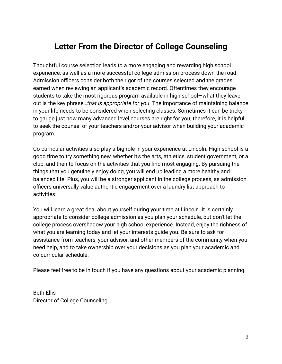# <span id="page-4-0"></span>**Letter From the Director of College Counseling**

Thoughtful course selection leads to a more engaging and rewarding high school experience, as well as a more successful college admission process down the road. Admission officers consider both the rigor of the courses selected and the grades earned when reviewing an applicant's academic record. Oftentimes they encourage students to take the most rigorous program available in high school—what they leave out is the key phrase…*that is appropriate for you*. The importance of maintaining balance in your life needs to be considered when selecting classes. Sometimes it can be tricky to gauge just how many advanced level courses are right for you; therefore, it is helpful to seek the counsel of your teachers and/or your advisor when building your academic program.

Co-curricular activities also play a big role in your experience at Lincoln. High school is a good time to try something new, whether it's the arts, athletics, student government, or a club, and then to focus on the activities that you find most engaging. By pursuing the things that you genuinely enjoy doing, you will end up leading a more healthy and balanced life. Plus, you will be a stronger applicant in the college process, as admission officers universally value authentic engagement over a laundry list approach to activities.

You will learn a great deal about yourself during your time at Lincoln. It is certainly appropriate to consider college admission as you plan your schedule, but don't let the college process overshadow your high school experience. Instead, enjoy the richness of what you are learning today and let your interests guide you. Be sure to ask for assistance from teachers, your advisor, and other members of the community when you need help, and to take ownership over your decisions as you plan your academic and co-curricular schedule.

Please feel free to be in touch if you have any questions about your academic planning.

Beth Ellis Director of College Counseling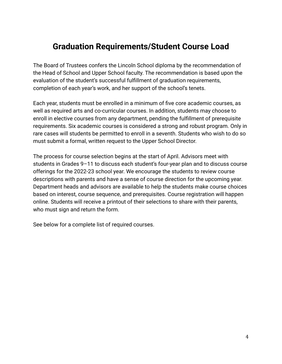# **Graduation Requirements/Student Course Load**

The Board of Trustees confers the Lincoln School diploma by the recommendation of the Head of School and Upper School faculty. The recommendation is based upon the evaluation of the student's successful fulfillment of graduation requirements, completion of each year's work, and her support of the school's tenets.

Each year, students must be enrolled in a minimum of five core academic courses, as well as required arts and co-curricular courses. In addition, students may choose to enroll in elective courses from any department, pending the fulfillment of prerequisite requirements. Six academic courses is considered a strong and robust program. Only in rare cases will students be permitted to enroll in a seventh. Students who wish to do so must submit a formal, written request to the Upper School Director.

The process for course selection begins at the start of April. Advisors meet with students in Grades 9–11 to discuss each student's four-year plan and to discuss course offerings for the 2022-23 school year. We encourage the students to review course descriptions with parents and have a sense of course direction for the upcoming year. Department heads and advisors are available to help the students make course choices based on interest, course sequence, and prerequisites. Course registration will happen online. Students will receive a printout of their selections to share with their parents, who must sign and return the form.

See below for a complete list of required courses.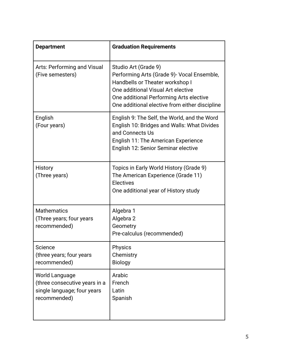| <b>Department</b>                                                                              | <b>Graduation Requirements</b>                                                                                                                                                                                                            |
|------------------------------------------------------------------------------------------------|-------------------------------------------------------------------------------------------------------------------------------------------------------------------------------------------------------------------------------------------|
| Arts: Performing and Visual<br>(Five semesters)                                                | Studio Art (Grade 9)<br>Performing Arts (Grade 9) - Vocal Ensemble,<br>Handbells or Theater workshop I<br>One additional Visual Art elective<br>One additional Performing Arts elective<br>One additional elective from either discipline |
| English<br>(Four years)                                                                        | English 9: The Self, the World, and the Word<br>English 10: Bridges and Walls: What Divides<br>and Connects Us<br>English 11: The American Experience<br>English 12: Senior Seminar elective                                              |
| <b>History</b><br>(Three years)                                                                | Topics in Early World History (Grade 9)<br>The American Experience (Grade 11)<br><b>Electives</b><br>One additional year of History study                                                                                                 |
| <b>Mathematics</b><br>(Three years; four years<br>recommended)                                 | Algebra 1<br>Algebra 2<br>Geometry<br>Pre-calculus (recommended)                                                                                                                                                                          |
| Science<br>(three years; four years<br>recommended)                                            | Physics<br>Chemistry<br><b>Biology</b>                                                                                                                                                                                                    |
| World Language<br>(three consecutive years in a<br>single language; four years<br>recommended) | Arabic<br>French<br>Latin<br>Spanish                                                                                                                                                                                                      |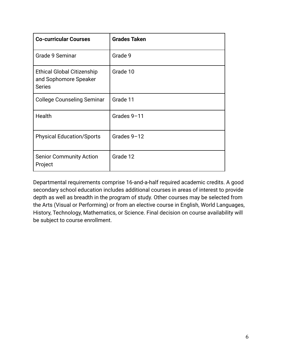| <b>Co-curricular Courses</b>                                                | <b>Grades Taken</b> |
|-----------------------------------------------------------------------------|---------------------|
| Grade 9 Seminar                                                             | Grade 9             |
| <b>Ethical Global Citizenship</b><br>and Sophomore Speaker<br><b>Series</b> | Grade 10            |
| <b>College Counseling Seminar</b>                                           | Grade 11            |
| Health                                                                      | Grades 9-11         |
| <b>Physical Education/Sports</b>                                            | Grades 9-12         |
| <b>Senior Community Action</b><br>Project                                   | Grade 12            |

Departmental requirements comprise 16-and-a-half required academic credits. A good secondary school education includes additional courses in areas of interest to provide depth as well as breadth in the program of study. Other courses may be selected from the Arts (Visual or Performing) or from an elective course in English, World Languages, History, Technology, Mathematics, or Science. Final decision on course availability will be subject to course enrollment.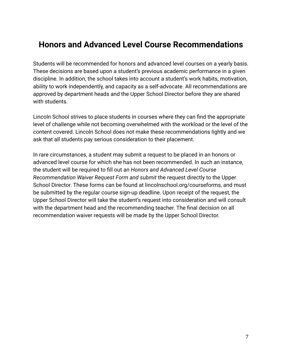# **Honors and Advanced Level Course Recommendations**

Students will be recommended for honors and advanced level courses on a yearly basis. These decisions are based upon a student's previous academic performance in a given discipline. In addition, the school takes into account a student's work habits, motivation, ability to work independently, and capacity as a self-advocate. All recommendations are approved by department heads and the Upper School Director before they are shared with students.

Lincoln School strives to place students in courses where they can find the appropriate level of challenge while not becoming overwhelmed with the workload or the level of the content covered. Lincoln School does not make these recommendations lightly and we ask that all students pay serious consideration to their placement.

<span id="page-8-0"></span>In rare circumstances, a student may submit a request to be placed in an honors or advanced level course for which she has not been recommended. In such an instance, the student will be required to fill out an *Honors and Advanced Level Course Recommendation Waiver Request Form and submit* the request directly to the Upper School Director. These forms can be found at lincolnschool.org/courseforms, and must be submitted by the regular course sign-up deadline. Upon receipt of the request, the Upper School Director will take the student's request into consideration and will consult with the department head and the recommending teacher. The final decision on all recommendation waiver requests will be made by the Upper School Director.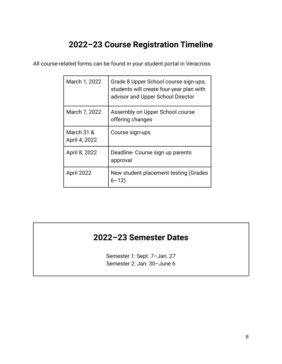# **2022–23 Course Registration Timeline**

All course-related forms can be found in your student portal in Veracross

| March 1, 2022               | Grade 8 Upper School course sign-ups;<br>students will create four-year plan with<br>advisor and Upper School Director |
|-----------------------------|------------------------------------------------------------------------------------------------------------------------|
| March 7, 2022               | Assembly on Upper School course<br>offering changes                                                                    |
| March 31 &<br>April 4, 2022 | Course sign-ups                                                                                                        |
| April 8, 2022               | Deadline-Course sign up parents<br>approval                                                                            |
| <b>April 2022</b>           | New student placement testing (Grades<br>$6 - 12$                                                                      |

# <span id="page-9-0"></span>**2022–23 Semester Dates**

Semester 1: Sept. 7–Jan. 27 Semester 2: Jan. 30–June 6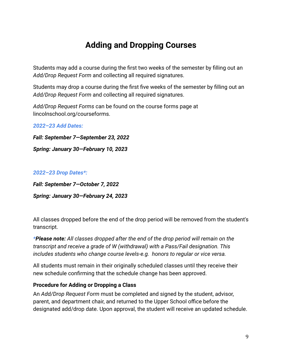# **Adding and Dropping Courses**

<span id="page-10-0"></span>Students may add a course during the first two weeks of the semester by filling out an *Add/Drop Request Form* and collecting all required signatures.

Students may drop a course during the first five weeks of the semester by filling out an *Add/Drop Request Form* and collecting all required signatures.

*Add/Drop Request Forms* can be found on the course forms page at lincolnschool.org/courseforms.

*2022–23 Add Dates:*

*Fall: September 7—September 23, 2022*

*Spring: January 30—February 10, 2023*

#### *2022–23 Drop Dates\*:*

*Fall: September 7—October 7, 2022 Spring: January 30—February 24, 2023*

All classes dropped before the end of the drop period will be removed from the student's transcript.

*\*Please note: All classes dropped after the end of the drop period will remain on the transcript and receive a grade of W (withdrawal) with a Pass/Fail designation. This includes students who change course levels-e.g. honors to regular or vice versa.*

All students must remain in their originally scheduled classes until they receive their new schedule confirming that the schedule change has been approved.

#### **Procedure for Adding or Dropping a Class**

An *Add/Drop Request Form* must be completed and signed by the student, advisor, parent, and department chair, and returned to the Upper School office before the designated add/drop date. Upon approval, the student will receive an updated schedule.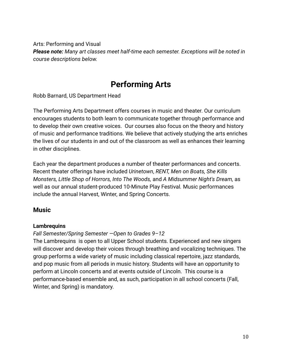Arts: Performing and Visual *Please note: Many art classes meet half-time each semester. Exceptions will be noted in course descriptions below.*

# **Performing Arts**

<span id="page-11-0"></span>Robb Barnard, US Department Head

The Performing Arts Department offers courses in music and theater. Our curriculum encourages students to both learn to communicate together through performance and to develop their own creative voices. Our courses also focus on the theory and history of music and performance traditions. We believe that actively studying the arts enriches the lives of our students in and out of the classroom as well as enhances their learning in other disciplines.

Each year the department produces a number of theater performances and concerts. Recent theater offerings have included *Urinetown*, *RENT, Men on Boats, She Kills Monsters, Little Shop of Horrors, Into The Woods,* and *A Midsummer Night's Dream,* as well as our annual student-produced 10-Minute Play Festival*.* Music performances include the annual Harvest, Winter, and Spring Concerts.

# **Music**

#### **Lambrequins**

#### *Fall Semester/Spring Semester —Open to Grades 9–12*

The Lambrequins is open to all Upper School students. Experienced and new singers will discover and develop their voices through breathing and vocalizing techniques. The group performs a wide variety of music including classical repertoire, jazz standards, and pop music from all periods in music history. Students will have an opportunity to perform at Lincoln concerts and at events outside of Lincoln. This course is a performance-based ensemble and, as such, participation in all school concerts (Fall, Winter, and Spring) is mandatory.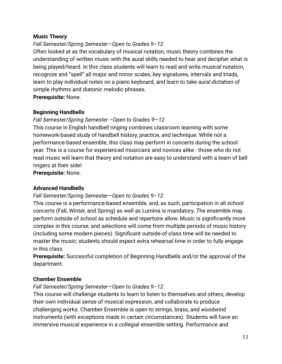### **Music Theory**

# *Fall Semester/Spring Semester—Open to Grades 9–12*

Often looked at as the vocabulary of musical notation, music theory combines the understanding of written music with the aural skills needed to hear and decipher what is being played/heard. In this class students will learn to read and write musical notation, recognize and "spell" all major and minor scales, key signatures, intervals and triads, learn to play individual notes on a piano keyboard, and learn to take aural dictation of simple rhythms and diatonic melodic phrases.

**Prerequisite:** None.

# **Beginning Handbells**

# *Fall Semester/Spring Semester –Open to Grades 9—12*

This course in English handbell ringing combines classroom learning with some homework-based study of handbell history, practice, and technique. While not a performance-based ensemble, this class may perform in concerts during the school year. This is a course for experienced musicians and novices alike - those who do not read music will learn that theory and notation are easy to understand with a team of bell ringers at their side!

**Prerequisite:** None.

# **Advanced Handbells**

# *Fall Semester/Spring Semester—Open to Grades 9–12*

This course is a performance-based ensemble, and, as such, participation in all school concerts (Fall, Winter, and Spring) as well as Lumina is mandatory. The ensemble may perform outside of school as schedule and repertoire allow. Music is significantly more complex in this course, and selections will come from multiple periods of music history (including some modern pieces). Significant outside-of-class time will be needed to master the music; students should expect extra rehearsal time in order to fully engage in this class.

**Prerequisite:** Successful completion of Beginning Handbells and/or the approval of the department.

# **Chamber Ensemble**

# *Fall Semester/Spring Semester—Open to Grades 9–12*

This course will challenge students to learn to listen to themselves and others, develop their own individual sense of musical expression, and collaborate to produce challenging works. Chamber Ensemble is open to strings, brass, and woodwind instruments (with exceptions made in certain circumstances). Students will have an immersive musical experience in a collegial ensemble setting. Performance and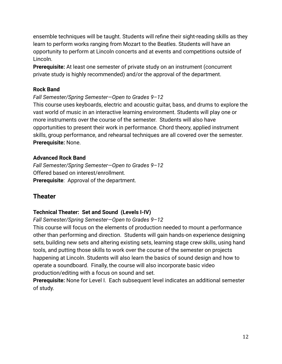ensemble techniques will be taught. Students will refine their sight-reading skills as they learn to perform works ranging from Mozart to the Beatles. Students will have an opportunity to perform at Lincoln concerts and at events and competitions outside of Lincoln.

**Prerequisite:** At least one semester of private study on an instrument (concurrent private study is highly recommended) and/or the approval of the department.

# **Rock Band**

### *Fall Semester/Spring Semester—Open to Grades 9–12*

This course uses keyboards, electric and acoustic guitar, bass, and drums to explore the vast world of music in an interactive learning environment. Students will play one or more instruments over the course of the semester. Students will also have opportunities to present their work in performance. Chord theory, applied instrument skills, group performance, and rehearsal techniques are all covered over the semester. **Prerequisite:** None.

### **Advanced Rock Band**

*Fall Semester/Spring Semester—Open to Grades 9–12* Offered based on interest/enrollment. **Prerequisite**: Approval of the department.

# **Theater**

# **Technical Theater: Set and Sound (Levels I-IV)**

#### *Fall Semester/Spring Semester—Open to Grades 9–12*

This course will focus on the elements of production needed to mount a performance other than performing and direction. Students will gain hands-on experience designing sets, building new sets and altering existing sets, learning stage crew skills, using hand tools, and putting those skills to work over the course of the semester on projects happening at Lincoln. Students will also learn the basics of sound design and how to operate a soundboard. Finally, the course will also incorporate basic video production/editing with a focus on sound and set.

**Prerequisite:** None for Level I. Each subsequent level indicates an additional semester of study.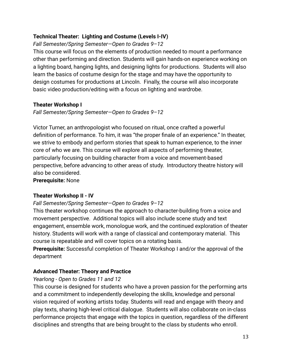# **Technical Theater: Lighting and Costume (Levels I-IV)**

*Fall Semester/Spring Semester—Open to Grades 9–12*

This course will focus on the elements of production needed to mount a performance other than performing and direction. Students will gain hands-on experience working on a lighting board, hanging lights, and designing lights for productions. Students will also learn the basics of costume design for the stage and may have the opportunity to design costumes for productions at Lincoln. Finally, the course will also incorporate basic video production/editing with a focus on lighting and wardrobe.

### **Theater Workshop I**

*Fall Semester/Spring Semester—Open to Grades 9–12*

Victor Turner, an anthropologist who focused on ritual, once crafted a powerful definition of performance. To him, it was "the proper finale of an experience." In theater, we strive to embody and perform stories that speak to human experience, to the inner core of who we are. This course will explore all aspects of performing theater, particularly focusing on building character from a voice and movement-based perspective, before advancing to other areas of study. Introductory theatre history will also be considered.

**Prerequisite:** None

# **Theater Workshop II - IV**

#### *Fall Semester/Spring Semester—Open to Grades 9–12*

This theater workshop continues the approach to character-building from a voice and movement perspective. Additional topics will also include scene study and text engagement, ensemble work, monologue work, and the continued exploration of theater history. Students will work with a range of classical and contemporary material. This course is repeatable and will cover topics on a rotating basis.

**Prerequisite:** Successful completion of Theater Workshop I and/or the approval of the department

# **Advanced Theater: Theory and Practice**

# *Yearlong - Open to Grades 11 and 12*

This course is designed for students who have a proven passion for the performing arts and a commitment to independently developing the skills, knowledge and personal vision required of working artists today. Students will read and engage with theory and play texts, sharing high-level critical dialogue. Students will also collaborate on in-class performance projects that engage with the topics in question, regardless of the different disciplines and strengths that are being brought to the class by students who enroll.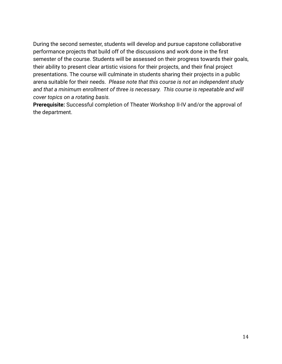During the second semester, students will develop and pursue capstone collaborative performance projects that build off of the discussions and work done in the first semester of the course. Students will be assessed on their progress towards their goals, their ability to present clear artistic visions for their projects, and their final project presentations. The course will culminate in students sharing their projects in a public arena suitable for their needs. *Please note that this course is not an independent study* and that a minimum enrollment of three is necessary. This course is repeatable and will *cover topics on a rotating basis.*

**Prerequisite:** Successful completion of Theater Workshop II-IV and/or the approval of the department.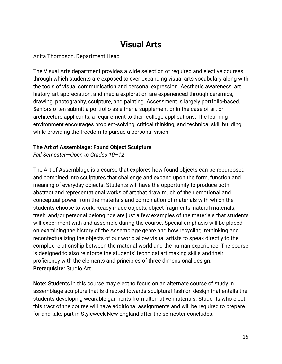# **Visual Arts**

<span id="page-16-0"></span>Anita Thompson, Department Head

The Visual Arts department provides a wide selection of required and elective courses through which students are exposed to ever-expanding visual arts vocabulary along with the tools of visual communication and personal expression. Aesthetic awareness, art history, art appreciation, and media exploration are experienced through ceramics, drawing, photography, sculpture, and painting. Assessment is largely portfolio-based. Seniors often submit a portfolio as either a supplement or in the case of art or architecture applicants, a requirement to their college applications. The learning environment encourages problem-solving, critical thinking, and technical skill building while providing the freedom to pursue a personal vision.

#### **The Art of Assemblage: Found Object Sculpture**

*Fall Semester—Open to Grades 10–12*

The Art of Assemblage is a course that explores how found objects can be repurposed and combined into sculptures that challenge and expand upon the form, function and meaning of everyday objects. Students will have the opportunity to produce both abstract and representational works of art that draw much of their emotional and conceptual power from the materials and combination of materials with which the students choose to work. Ready made objects, object fragments, natural materials, trash, and/or personal belongings are just a few examples of the materials that students will experiment with and assemble during the course. Special emphasis will be placed on examining the history of the Assemblage genre and how recycling, rethinking and recontextualizing the objects of our world allow visual artists to speak directly to the complex relationship between the material world and the human experience. The course is designed to also reinforce the students' technical art making skills and their proficiency with the elements and principles of three dimensional design. **Prerequisite:** Studio Art

**Note:** Students in this course may elect to focus on an alternate course of study in assemblage sculpture that is directed towards sculptural fashion design that entails the students developing wearable garments from alternative materials. Students who elect this tract of the course will have additional assignments and will be required to prepare for and take part in Styleweek New England after the semester concludes.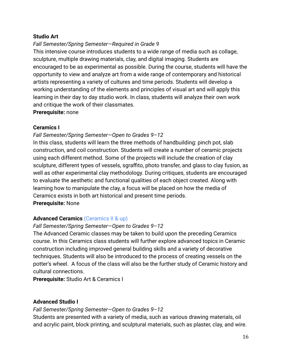#### **Studio Art**

### *Fall Semester/Spring Semester—Required in Grade 9*

This intensive course introduces students to a wide range of media such as collage, sculpture, multiple drawing materials, clay, and digital imaging. Students are encouraged to be as experimental as possible. During the course, students will have the opportunity to view and analyze art from a wide range of contemporary and historical artists representing a variety of cultures and time periods. Students will develop a working understanding of the elements and principles of visual art and will apply this learning in their day to day studio work. In class, students will analyze their own work and critique the work of their classmates.

**Prerequisite:** none

#### **Ceramics I**

### *Fall Semester/Spring Semester—Open to Grades 9–12*

In this class, students will learn the three methods of handbuilding: pinch pot, slab construction, and coil construction. Students will create a number of ceramic projects using each different method. Some of the projects will include the creation of clay sculpture, different types of vessels, sgraffito, photo transfer, and glass to clay fusion, as well as other experimental clay methodology. During critiques, students are encouraged to evaluate the aesthetic and functional qualities of each object created. Along with learning how to manipulate the clay, a focus will be placed on how the media of Ceramics exists in both art historical and present time periods. **Prerequisite:** None

# **Advanced Ceramics** (Ceramics II & up)

#### *Fall Semester/Spring Semester—Open to Grades 9–12*

The Advanced Ceramic classes may be taken to build upon the preceding Ceramics course. In this Ceramics class students will further explore advanced topics in Ceramic construction including improved general building skills and a variety of decorative techniques. Students will also be introduced to the process of creating vessels on the potter's wheel. A focus of the class will also be the further study of Ceramic history and cultural connections.

**Prerequisite:** Studio Art & Ceramics I

#### **Advanced Studio I**

*Fall Semester/Spring Semester—Open to Grades 9–12*

Students are presented with a variety of media, such as various drawing materials, oil and acrylic paint, block printing, and sculptural materials, such as plaster, clay, and wire.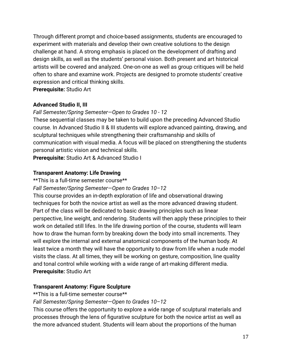Through different prompt and choice-based assignments, students are encouraged to experiment with materials and develop their own creative solutions to the design challenge at hand. A strong emphasis is placed on the development of drafting and design skills, as well as the students' personal vision. Both present and art historical artists will be covered and analyzed. One-on-one as well as group critiques will be held often to share and examine work. Projects are designed to promote students' creative expression and critical thinking skills.

**Prerequisite:** Studio Art

# **Advanced Studio II, III**

# *Fall Semester/Spring Semester—Open to Grades 10 - 12*

These sequential classes may be taken to build upon the preceding Advanced Studio course. In Advanced Studio II & III students will explore advanced painting, drawing, and sculptural techniques while strengthening their craftsmanship and skills of communication with visual media. A focus will be placed on strengthening the students personal artistic vision and technical skills.

**Prerequisite:** Studio Art & Advanced Studio I

# **Transparent Anatomy: Life Drawing**

\*\*This is a full-time semester course\*\*

*Fall Semester/Spring Semester—Open to Grades 10–12*

This course provides an in-depth exploration of life and observational drawing techniques for both the novice artist as well as the more advanced drawing student. Part of the class will be dedicated to basic drawing principles such as linear perspective, line weight, and rendering. Students will then apply these principles to their work on detailed still lifes. In the life drawing portion of the course, students will learn how to draw the human form by breaking down the body into small increments. They will explore the internal and external anatomical components of the human body. At least twice a month they will have the opportunity to draw from life when a nude model visits the class. At all times, they will be working on gesture, composition, line quality and tonal control while working with a wide range of art-making different media. **Prerequisite:** Studio Art

# **Transparent Anatomy: Figure Sculpture**

\*\*This is a full-time semester course\*\*

# *Fall Semester/Spring Semester—Open to Grades 10–12*

This course offers the opportunity to explore a wide range of sculptural materials and processes through the lens of figurative sculpture for both the novice artist as well as the more advanced student. Students will learn about the proportions of the human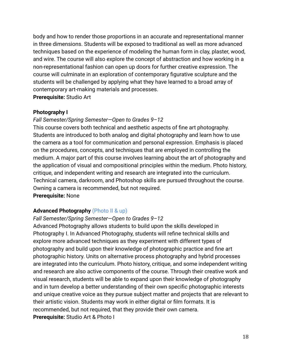body and how to render those proportions in an accurate and representational manner in three dimensions. Students will be exposed to traditional as well as more advanced techniques based on the experience of modeling the human form in clay, plaster, wood, and wire. The course will also explore the concept of abstraction and how working in a non-representational fashion can open up doors for further creative expression. The course will culminate in an exploration of contemporary figurative sculpture and the students will be challenged by applying what they have learned to a broad array of contemporary art-making materials and processes. **Prerequisite:** Studio Art

#### **Photography I**

#### *Fall Semester/Spring Semester—Open to Grades 9–12*

This course covers both technical and aesthetic aspects of fine art photography. Students are introduced to both analog and digital photography and learn how to use the camera as a tool for communication and personal expression. Emphasis is placed on the procedures, concepts, and techniques that are employed in controlling the medium. A major part of this course involves learning about the art of photography and the application of visual and compositional principles within the medium. Photo history, critique, and independent writing and research are integrated into the curriculum. Technical camera, darkroom, and Photoshop skills are pursued throughout the course. Owning a camera is recommended, but not required. **Prerequisite:** None

#### **Advanced Photography** (Photo II & up)

#### *Fall Semester/Spring Semester—Open to Grades 9–12*

Advanced Photography allows students to build upon the skills developed in Photography I. In Advanced Photography, students will refine technical skills and explore more advanced techniques as they experiment with different types of photography and build upon their knowledge of photographic practice and fine art photographic history. Units on alternative process photography and hybrid processes are integrated into the curriculum. Photo history, critique, and some independent writing and research are also active components of the course. Through their creative work and visual research, students will be able to expand upon their knowledge of photography and in turn develop a better understanding of their own specific photographic interests and unique creative voice as they pursue subject matter and projects that are relevant to their artistic vision. Students may work in either digital or film formats. It is recommended, but not required, that they provide their own camera. **Prerequisite:** Studio Art & Photo I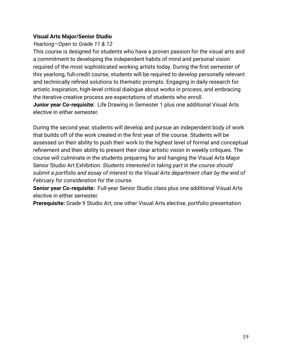#### **Visual Arts Major/Senior Studio**

# *Yearlong—Open to Grade 11 & 12*

This course is designed for students who have a proven passion for the visual arts and a commitment to developing the independent habits of mind and personal vision required of the most sophisticated working artists today. During the first semester of this yearlong, full-credit course, students will be required to develop personally relevant and technically refined solutions to thematic prompts. Engaging in daily research for artistic inspiration, high-level critical dialogue about works in process, and embracing the iterative creative process are expectations of students who enroll. **Junior year Co-requisite:** Life Drawing in Semester 1 plus one additional Visual Arts elective in either semester.

During the second year, students will develop and pursue an independent body of work that builds off of the work created in the first year of the course. Students will be assessed on their ability to push their work to the highest level of formal and conceptual refinement and their ability to present their clear artistic vision in weekly critiques. The course will culminate in the students preparing for and hanging the Visual Arts Major Senior Studio Art Exhibition. *Students interested in taking part in the course should submit a portfolio and essay of interest to the Visual Arts department chair by the end of February for consideration for the course.*

**Senior year Co-requisite:** Full-year Senior Studio class plus one additional Visual Arts elective in either semester.

**Prerequisite:** Grade 9 Studio Art; one other Visual Arts elective, portfolio presentation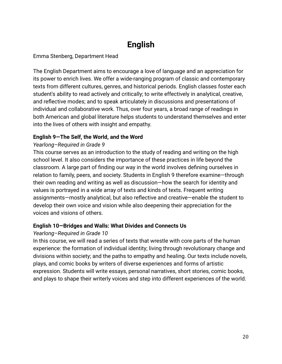# **English**

# <span id="page-21-0"></span>Emma Stenberg, Department Head

The English Department aims to encourage a love of language and an appreciation for its power to enrich lives. We offer a wide-ranging program of classic and contemporary texts from different cultures, genres, and historical periods. English classes foster each student's ability to read actively and critically; to write effectively in analytical, creative, and reflective modes; and to speak articulately in discussions and presentations of individual and collaborative work. Thus, over four years, a broad range of readings in both American and global literature helps students to understand themselves and enter into the lives of others with insight and empathy.

### **English 9—The Self, the World, and the Word**

# *Yearlong–Required in Grade 9*

This course serves as an introduction to the study of reading and writing on the high school level. It also considers the importance of these practices in life beyond the classroom. A large part of finding our way in the world involves defining ourselves in relation to family, peers, and society. Students in English 9 therefore examine—through their own reading and writing as well as discussion—how the search for identity and values is portrayed in a wide array of texts and kinds of texts. Frequent writing assignments—mostly analytical, but also reflective and creative—enable the student to develop their own voice and vision while also deepening their appreciation for the voices and visions of others.

# **English 10—Bridges and Walls: What Divides and Connects Us**

# *Yearlong–Required in Grade 10*

In this course, we will read a series of texts that wrestle with core parts of the human experience: the formation of individual identity; living through revolutionary change and divisions within society; and the paths to empathy and healing. Our texts include novels, plays, and comic books by writers of diverse experiences and forms of artistic expression. Students will write essays, personal narratives, short stories, comic books, and plays to shape their writerly voices and step into different experiences of the world.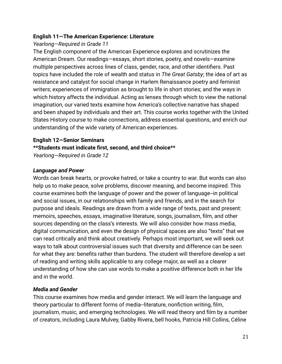### **English 11—The American Experience: Literature**

# *Yearlong—Required in Grade 11*

The English component of the American Experience explores and scrutinizes the American Dream. Our readings—essays, short stories, poetry, and novels—examine multiple perspectives across lines of class, gender, race, and other identifiers. Past topics have included the role of wealth and status in *The Great Gatsby*; the idea of art as resistance and catalyst for social change in Harlem Renaissance poetry and feminist writers; experiences of immigration as brought to life in short stories; and the ways in which history affects the individual. Acting as lenses through which to view the national imagination, our varied texts examine how America's collective narrative has shaped and been shaped by individuals and their art. This course works together with the United States History course to make connections, address essential questions, and enrich our understanding of the wide variety of American experiences.

#### **English 12—Senior Seminars**

**\*\*Students must indicate first, second, and third choice\*\***

*Yearlong—Required in Grade 12*

# *Language and Power*

Words can break hearts, or provoke hatred, or take a country to war. But words can also help us to make peace, solve problems, discover meaning, and become inspired. This course examines both the language of power and the power of language--in political and social issues, in our relationships with family and friends, and in the search for purpose and ideals. Readings are drawn from a wide range of texts, past and present: memoirs, speeches, essays, imaginative literature, songs, journalism, film, and other sources depending on the class's interests. We will also consider how mass media, digital communication, and even the design of physical spaces are also "texts" that we can read critically and think about creatively. Perhaps most important, we will seek out ways to talk about controversial issues such that diversity and difference can be seen for what they are: benefits rather than burdens. The student will therefore develop a set of reading and writing skills applicable to any college major, as well as a clearer understanding of how she can use words to make a positive difference both in her life and in the world.

# *Media and Gender*

This course examines how media and gender interact. We will learn the language and theory particular to different forms of media--literature, nonfiction writing, film, journalism, music, and emerging technologies. We will read theory and film by a number of creators, including Laura Mulvey, Gabby Rivera, bell hooks, Patricia Hill Collins, Céline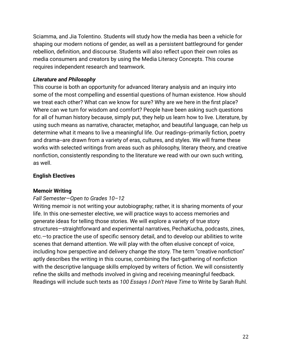Sciamma, and Jia Tolentino. Students will study how the media has been a vehicle for shaping our modern notions of gender, as well as a persistent battleground for gender rebellion, definition, and discourse. Students will also reflect upon their own roles as media consumers and creators by using the Media Literacy Concepts. This course requires independent research and teamwork.

### *Literature and Philosophy*

This course is both an opportunity for advanced literary analysis and an inquiry into some of the most compelling and essential questions of human existence. How should we treat each other? What can we know for sure? Why are we here in the first place? Where can we turn for wisdom and comfort? People have been asking such questions for all of human history because, simply put, they help us learn how to live. Literature, by using such means as narrative, character, metaphor, and beautiful language, can help us determine what it means to live a meaningful life. Our readings--primarily fiction, poetry and drama--are drawn from a variety of eras, cultures, and styles. We will frame these works with selected writings from areas such as philosophy, literary theory, and creative nonfiction, consistently responding to the literature we read with our own such writing, as well.

### **English Electives**

#### **Memoir Writing**

#### *Fall Semester—Open to Grades 10–12*

Writing memoir is not writing your autobiography; rather, it is sharing moments of your life. In this one-semester elective, we will practice ways to access memories and generate ideas for telling those stories. We will explore a variety of true story structures—straightforward and experimental narratives, PechaKucha, podcasts, zines, etc.—to practice the use of specific sensory detail, and to develop our abilities to write scenes that demand attention. We will play with the often elusive concept of voice, including how perspective and delivery change the story. The term "creative nonfiction" aptly describes the writing in this course, combining the fact-gathering of nonfiction with the descriptive language skills employed by writers of fiction. We will consistently refine the skills and methods involved in giving and receiving meaningful feedback. Readings will include such texts as *100 Essays I Don't Have Time* to Write by Sarah Ruhl.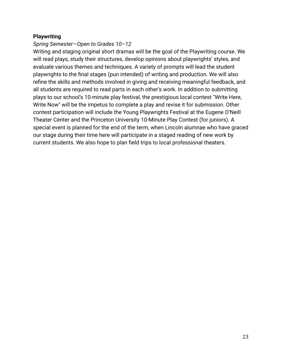#### **Playwriting**

### *Spring Semester—Open to Grades 10–12*

Writing and staging original short dramas will be the goal of the Playwriting course. We will read plays, study their structures, develop opinions about playwrights' styles, and evaluate various themes and techniques. A variety of prompts will lead the student playwrights to the final stages (pun intended) of writing and production. We will also refine the skills and methods involved in giving and receiving meaningful feedback, and all students are required to read parts in each other's work. In addition to submitting plays to our school's 10-minute play festival, the prestigious local contest "Write Here, Write Now" will be the impetus to complete a play and revise it for submission. Other contest participation will include the Young Playwrights Festival at the Eugene O'Neill Theater Center and the Princeton University 10-Minute Play Contest (for juniors). A special event is planned for the end of the term, when Lincoln alumnae who have graced our stage during their time here will participate in a staged reading of new work by current students. We also hope to plan field trips to local professional theaters.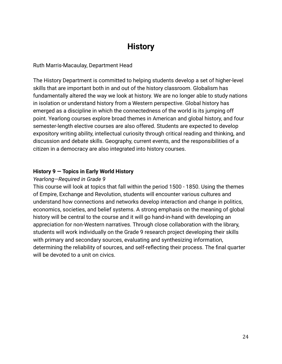# **History**

<span id="page-25-0"></span>Ruth Marris-Macaulay, Department Head

The History Department is committed to helping students develop a set of higher-level skills that are important both in and out of the history classroom. Globalism has fundamentally altered the way we look at history. We are no longer able to study nations in isolation or understand history from a Western perspective. Global history has emerged as a discipline in which the connectedness of the world is its jumping off point. Yearlong courses explore broad themes in American and global history, and four semester-length elective courses are also offered. Students are expected to develop expository writing ability, intellectual curiosity through critical reading and thinking, and discussion and debate skills. Geography, current events, and the responsibilities of a citizen in a democracy are also integrated into history courses.

#### **History 9 — Topics in Early World History**

#### *Yearlong—Required in Grade 9*

This course will look at topics that fall within the period 1500 - 1850. Using the themes of Empire, Exchange and Revolution, students will encounter various cultures and understand how connections and networks develop interaction and change in politics, economics, societies, and belief systems. A strong emphasis on the meaning of global history will be central to the course and it will go hand-in-hand with developing an appreciation for non-Western narratives. Through close collaboration with the library, students will work individually on the Grade 9 research project developing their skills with primary and secondary sources, evaluating and synthesizing information, determining the reliability of sources, and self-reflecting their process. The final quarter will be devoted to a unit on civics.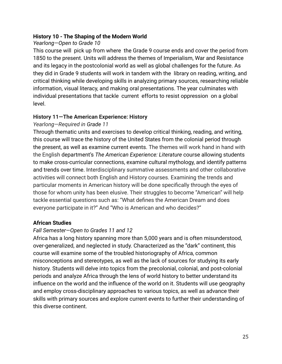### **History 10 - The Shaping of the Modern World**

# *Yearlong—Open to Grade 10*

This course will pick up from where the Grade 9 course ends and cover the period from 1850 to the present. Units will address the themes of Imperialism, War and Resistance and its legacy in the postcolonial world as well as global challenges for the future. As they did in Grade 9 students will work in tandem with the library on reading, writing, and critical thinking while developing skills in analyzing primary sources, researching reliable information, visual literacy, and making oral presentations. The year culminates with individual presentations that tackle current efforts to resist oppression on a global level.

### **History 11—The American Experience: History**

### *Yearlong—Required in Grade 11*

Through thematic units and exercises to develop critical thinking, reading, and writing, this course will trace the history of the United States from the colonial period through the present, as well as examine current events. The themes will work hand in hand with the English department's *The American Experience: Literature* course allowing students to make cross-curricular connections, examine cultural mythology, and identify patterns and trends over time. Interdisciplinary summative assessments and other collaborative activities will connect both English and History courses. Examining the trends and particular moments in American history will be done specifically through the eyes of those for whom unity has been elusive. Their struggles to become "American" will help tackle essential questions such as: "What defines the American Dream and does everyone participate in it?" And "Who is American and who decides?"

# **African Studies**

# *Fall Semester—Open to Grades 11 and 12*

Africa has a long history spanning more than 5,000 years and is often misunderstood, over-generalized, and neglected in study. Characterized as the "dark" continent, this course will examine some of the troubled historiography of Africa, common misconceptions and stereotypes, as well as the lack of sources for studying its early history. Students will delve into topics from the precolonial, colonial, and post-colonial periods and analyze Africa through the lens of world history to better understand its influence on the world and the influence of the world on it. Students will use geography and employ cross-disciplinary approaches to various topics, as well as advance their skills with primary sources and explore current events to further their understanding of this diverse continent.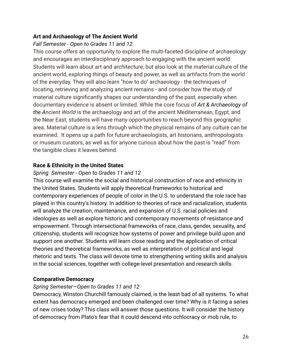# **Art and Archaeology of The Ancient World**

# *Fall Semester - Open to Grades 11 and 12*

This course offers an opportunity to explore the multi-faceted discipline of archaeology and encourages an interdisciplinary approach to engaging with the ancient world. Students will learn about art and architecture, but also look at the material culture of the ancient world, exploring things of beauty and power, as well as artifacts from the world of the everyday. They will also learn "how to do" archaeology - the techniques of locating, retrieving and analyzing ancient remains - and consider how the study of material culture significantly shapes our understanding of the past, especially when documentary evidence is absent or limited. While the core focus of *Art & Archaeology of the Ancient World* is the archaeology and art of the ancient Mediterranean, Egypt, and the Near East, students will have many opportunities to reach beyond this geographic area. Material culture is a lens through which the physical remains of any culture can be examined. It opens up a path for future archaeologists, art historians, anthropologists or museum curators, as well as for anyone curious about how the past is "read" from the tangible clues it leaves behind.

# **Race & Ethnicity in the United States**

### *Spring Semester - Open to Grades 11 and 12*

This course will examine the social and historical construction of race and ethnicity in the United States. Students will apply theoretical frameworks to historical and contemporary experiences of people of color in the U.S. to understand the role race has played in this country's history. In addition to theories of race and racialization, students will analyze the creation, maintenance, and expansion of U.S. racial policies and ideologies as well as explore historic and contemporary movements of resistance and empowerment. Through intersectional frameworks of race, class, gender, sexuality, and citizenship, students will recognize how systems of power and privilege build upon and support one another. Students will learn close reading and the application of critical theories and theoretical frameworks, as well as interpretation of political and legal rhetoric and texts. The class will devote time to strengthening writing skills and analysis in the social sciences, together with college-level presentation and research skills.

# **Comparative Democracy**

# *Spring Semester—Open to Grades 11 and 12*

Democracy, Winston Churchill famously claimed, is the least bad of all systems. To what extent has democracy emerged and been challenged over time? Why is it facing a series of new crises today? This class will answer those questions. It will consider the history of democracy from Plato's fear that it could descend into ochlocracy or mob rule, to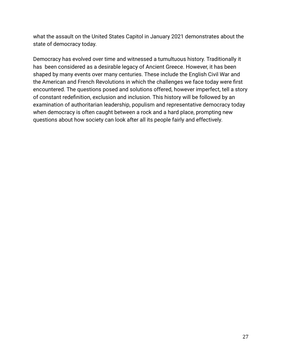what the assault on the United States Capitol in January 2021 demonstrates about the state of democracy today.

Democracy has evolved over time and witnessed a tumultuous history. Traditionally it has been considered as a desirable legacy of Ancient Greece. However, it has been shaped by many events over many centuries. These include the English Civil War and the American and French Revolutions in which the challenges we face today were first encountered. The questions posed and solutions offered, however imperfect, tell a story of constant redefinition, exclusion and inclusion. This history will be followed by an examination of authoritarian leadership, populism and representative democracy today when democracy is often caught between a rock and a hard place, prompting new questions about how society can look after all its people fairly and effectively.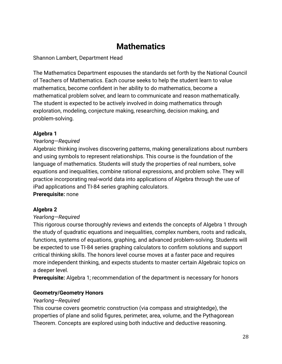# **Mathematics**

<span id="page-29-0"></span>Shannon Lambert, Department Head

The Mathematics Department espouses the standards set forth by the National Council of Teachers of Mathematics. Each course seeks to help the student learn to value mathematics, become confident in her ability to do mathematics, become a mathematical problem solver, and learn to communicate and reason mathematically. The student is expected to be actively involved in doing mathematics through exploration, modeling, conjecture making, researching, decision making, and problem-solving.

# **Algebra 1**

# *Yearlong—Required*

Algebraic thinking involves discovering patterns, making generalizations about numbers and using symbols to represent relationships. This course is the foundation of the language of mathematics. Students will study the properties of real numbers, solve equations and inequalities, combine rational expressions, and problem solve. They will practice incorporating real-world data into applications of Algebra through the use of iPad applications and TI-84 series graphing calculators.

# **Prerequisite:** none

# **Algebra 2**

# *Yearlong—Required*

This rigorous course thoroughly reviews and extends the concepts of Algebra 1 through the study of quadratic equations and inequalities, complex numbers, roots and radicals, functions, systems of equations, graphing, and advanced problem-solving. Students will be expected to use TI-84 series graphing calculators to confirm solutions and support critical thinking skills. The honors level course moves at a faster pace and requires more independent thinking, and expects students to master certain Algebraic topics on a deeper level.

**Prerequisite:** Algebra 1; recommendation of the department is necessary for honors

# **Geometry/Geometry Honors**

#### *Yearlong—Required*

This course covers geometric construction (via compass and straightedge), the properties of plane and solid figures, perimeter, area, volume, and the Pythagorean Theorem. Concepts are explored using both inductive and deductive reasoning.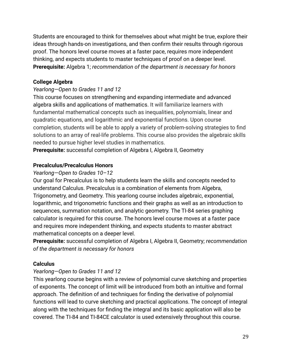Students are encouraged to think for themselves about what might be true, explore their ideas through hands-on investigations, and then confirm their results through rigorous proof. The honors level course moves at a faster pace, requires more independent thinking, and expects students to master techniques of proof on a deeper level. **Prerequisite:** Algebra 1; *recommendation of the department is necessary for honors*

# **College Algebra**

# *Yearlong—Open to Grades 11 and 12*

This course focuses on strengthening and expanding intermediate and advanced algebra skills and applications of mathematics. It will familiarize learners with fundamental mathematical concepts such as inequalities, polynomials, linear and quadratic equations, and logarithmic and exponential functions. Upon course completion, students will be able to apply a variety of problem-solving strategies to find solutions to an array of real-life problems. This course also provides the algebraic skills needed to pursue higher level studies in mathematics.

**Prerequisite:** successful completion of Algebra I, Algebra II, Geometry

# **Precalculus/Precalculus Honors**

# *Yearlong—Open to Grades 10–12*

Our goal for Precalculus is to help students learn the skills and concepts needed to understand Calculus. Precalculus is a combination of elements from Algebra, Trigonometry, and Geometry. This yearlong course includes algebraic, exponential, logarithmic, and trigonometric functions and their graphs as well as an introduction to sequences, summation notation, and analytic geometry. The TI-84 series graphing calculator is required for this course. The honors level course moves at a faster pace and requires more independent thinking, and expects students to master abstract mathematical concepts on a deeper level.

**Prerequisite:** successful completion of Algebra I, Algebra II, Geometry; *recommendation of the department is necessary for honors*

# **Calculus**

# *Yearlong—Open to Grades 11 and 12*

This yearlong course begins with a review of polynomial curve sketching and properties of exponents. The concept of limit will be introduced from both an intuitive and formal approach. The definition of and techniques for finding the derivative of polynomial functions will lead to curve sketching and practical applications. The concept of integral along with the techniques for finding the integral and its basic application will also be covered. The TI-84 and TI-84CE calculator is used extensively throughout this course.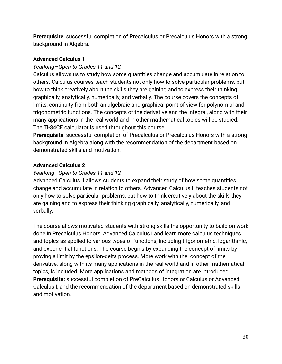**Prerequisite**: successful completion of Precalculus or Precalculus Honors with a strong background in Algebra.

# **Advanced Calculus 1**

# *Yearlong—Open to Grades 11 and 12*

Calculus allows us to study how some quantities change and accumulate in relation to others. Calculus courses teach students not only how to solve particular problems, but how to think creatively about the skills they are gaining and to express their thinking graphically, analytically, numerically, and verbally. The course covers the concepts of limits, continuity from both an algebraic and graphical point of view for polynomial and trigonometric functions. The concepts of the derivative and the integral, along with their many applications in the real world and in other mathematical topics will be studied. The TI-84CE calculator is used throughout this course.

**Prerequisite**: successful completion of Precalculus or Precalculus Honors with a strong background in Algebra along with the recommendation of the department based on demonstrated skills and motivation.

# **Advanced Calculus 2**

### *Yearlong—Open to Grades 11 and 12*

Advanced Calculus II allows students to expand their study of how some quantities change and accumulate in relation to others. Advanced Calculus II teaches students not only how to solve particular problems, but how to think creatively about the skills they are gaining and to express their thinking graphically, analytically, numerically, and verbally.

The course allows motivated students with strong skills the opportunity to build on work done in Precalculus Honors, Advanced Calculus I and learn more calculus techniques and topics as applied to various types of functions, including trigonometric, logarithmic, and exponential functions. The course begins by expanding the concept of limits by proving a limit by the epsilon-delta process. More work with the concept of the derivative, along with its many applications in the real world and in other mathematical topics, is included. More applications and methods of integration are introduced. **Prerequisite:** successful completion of PreCalculus Honors or Calculus or Advanced Calculus I, and the recommendation of the department based on demonstrated skills and motivation.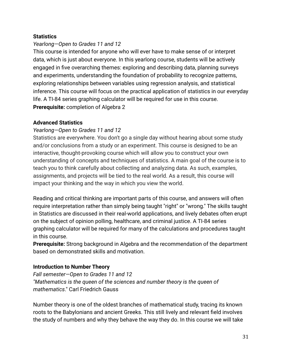#### **Statistics**

# *Yearlong—Open to Grades 11 and 12*

This course is intended for anyone who will ever have to make sense of or interpret data, which is just about everyone. In this yearlong course, students will be actively engaged in five overarching themes: exploring and describing data, planning surveys and experiments, understanding the foundation of probability to recognize patterns, exploring relationships between variables using regression analysis, and statistical inference. This course will focus on the practical application of statistics in our everyday life. A TI-84 series graphing calculator will be required for use in this course. **Prerequisite:** completion of Algebra 2

#### **Advanced Statistics**

### *Yearlong—Open to Grades 11 and 12*

Statistics are everywhere. You don't go a single day without hearing about some study and/or conclusions from a study or an experiment. This course is designed to be an interactive, thought-provoking course which will allow you to construct your own understanding of concepts and techniques of statistics. A main goal of the course is to teach you to think carefully about collecting and analyzing data. As such, examples, assignments, and projects will be tied to the real world. As a result, this course will impact your thinking and the way in which you view the world.

Reading and critical thinking are important parts of this course, and answers will often require interpretation rather than simply being taught "right" or "wrong." The skills taught in Statistics are discussed in their real-world applications, and lively debates often erupt on the subject of opinion polling, healthcare, and criminal justice. A TI-84 series graphing calculator will be required for many of the calculations and procedures taught in this course.

**Prerequisite:** Strong background in Algebra and the recommendation of the department based on demonstrated skills and motivation.

#### **Introduction to Number Theory**

*Fall semester—Open to Grades 11 and 12 "Mathematics is the queen of the sciences and number theory is the queen of mathematics*." Carl Friedrich Gauss

Number theory is one of the oldest branches of mathematical study, tracing its known roots to the Babylonians and ancient Greeks. This still lively and relevant field involves the study of numbers and why they behave the way they do. In this course we will take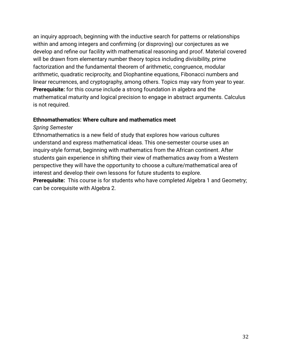an inquiry approach, beginning with the inductive search for patterns or relationships within and among integers and confirming (or disproving) our conjectures as we develop and refine our facility with mathematical reasoning and proof. Material covered will be drawn from elementary number theory topics including divisibility, prime factorization and the fundamental theorem of arithmetic, congruence, modular arithmetic, quadratic reciprocity, and Diophantine equations, Fibonacci numbers and linear recurrences, and cryptography, among others. Topics may vary from year to year. **Prerequisite:** for this course include a strong foundation in algebra and the mathematical maturity and logical precision to engage in abstract arguments. Calculus is not required.

#### **Ethnomathematics: Where culture and mathematics meet**

#### *Spring Semester*

Ethnomathematics is a new field of study that explores how various cultures understand and express mathematical ideas. This one-semester course uses an inquiry-style format, beginning with mathematics from the African continent. After students gain experience in shifting their view of mathematics away from a Western perspective they will have the opportunity to choose a culture/mathematical area of interest and develop their own lessons for future students to explore.

**Prerequisite:** This course is for students who have completed Algebra 1 and Geometry; can be corequisite with Algebra 2.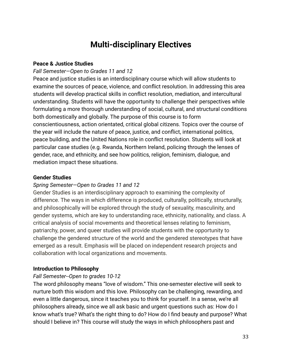# **Multi-disciplinary Electives**

#### <span id="page-34-0"></span>**Peace & Justice Studies**

#### *Fall Semester—Open to Grades 11 and 12*

Peace and justice studies is an interdisciplinary course which will allow students to examine the sources of peace, violence, and conflict resolution. In addressing this area students will develop practical skills in conflict resolution, mediation, and intercultural understanding. Students will have the opportunity to challenge their perspectives while formulating a more thorough understanding of social, cultural, and structural conditions both domestically and globally. The purpose of this course is to form conscientiousness, action orientated, critical global citizens. Topics over the course of the year will include the nature of peace, justice, and conflict, international politics, peace building, and the United Nations role in conflict resolution. Students will look at particular case studies (e.g. Rwanda, Northern Ireland, policing through the lenses of gender, race, and ethnicity, and see how politics, religion, feminism, dialogue, and mediation impact these situations.

#### **Gender Studies**

#### *Spring Semester—Open to Grades 11 and 12*

Gender Studies is an interdisciplinary approach to examining the complexity of difference. The ways in which difference is produced, culturally, politically, structurally, and philosophically will be explored through the study of sexuality, masculinity, and gender systems, which are key to understanding race, ethnicity, nationality, and class. A critical analysis of social movements and theoretical lenses relating to feminism, patriarchy, power, and queer studies will provide students with the opportunity to challenge the gendered structure of the world and the gendered stereotypes that have emerged as a result. Emphasis will be placed on independent research projects and collaboration with local organizations and movements.

#### **Introduction to Philosophy**

#### *Fall Semester--Open to grades 10-12*

The word philosophy means "love of wisdom." This one-semester elective will seek to nurture both this wisdom and this love. Philosophy can be challenging, rewarding, and even a little dangerous, since it teaches you to think for yourself. In a sense, we're all philosophers already, since we all ask basic and urgent questions such as: How do I know what's true? What's the right thing to do? How do I find beauty and purpose? What should I believe in? This course will study the ways in which philosophers past and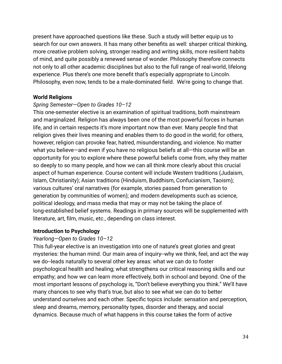present have approached questions like these. Such a study will better equip us to search for our own answers. It has many other benefits as well: sharper critical thinking, more creative problem solving, stronger reading and writing skills, more resilient habits of mind, and quite possibly a renewed sense of wonder. Philosophy therefore connects not only to all other academic disciplines but also to the full range of real-world, lifelong experience. Plus there's one more benefit that's especially appropriate to Lincoln. Philosophy, even now, tends to be a male-dominated field. We're going to change that.

#### **World Religions**

#### *Spring Semester—Open to Grades 10–12*

This one-semester elective is an examination of spiritual traditions, both mainstream and marginalized. Religion has always been one of the most powerful forces in human life, and in certain respects it's more important now than ever. Many people find that religion gives their lives meaning and enables them to do good in the world; for others, however, religion can provoke fear, hatred, misunderstanding, and violence. No matter what you believe—and even if you have no religious beliefs at all—this course will be an opportunity for you to explore where these powerful beliefs come from, why they matter so deeply to so many people, and how we can all think more clearly about this crucial aspect of human experience. Course content will include Western traditions (Judaism, Islam, Christianity); Asian traditions (Hinduism, Buddhism, Confucianism, Taoism); various cultures' oral narratives (for example, stories passed from generation to generation by communities of women); and modern developments such as science, political ideology, and mass media that may or may not be taking the place of long-established belief systems. Readings in primary sources will be supplemented with literature, art, film, music, etc., depending on class interest.

#### **Introduction to Psychology**

#### *Yearlong—Open to Grades 10–12*

This full-year elective is an investigation into one of nature's great glories and great mysteries: the human mind. Our main area of inquiry--why we think, feel, and act the way we do--leads naturally to several other key areas: what we can do to foster psychological health and healing; what strengthens our critical reasoning skills and our empathy; and how we can learn more effectively, both in school and beyond. One of the most important lessons of psychology is, "Don't believe everything you think." We'll have many chances to see why that's true, but also to see what we can do to better understand ourselves and each other. Specific topics include: sensation and perception, sleep and dreams, memory, personality types, disorder and therapy, and social dynamics. Because much of what happens in this course takes the form of active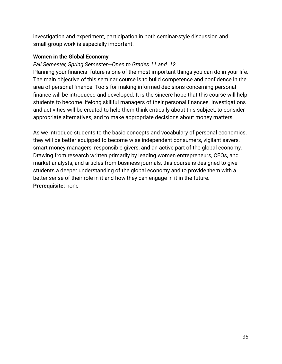investigation and experiment, participation in both seminar-style discussion and small-group work is especially important.

# **Women in the Global Economy**

# *Fall Semester, Spring Semester—Open to Grades 11 and 12*

Planning your financial future is one of the most important things you can do in your life. The main objective of this seminar course is to build competence and confidence in the area of personal finance. Tools for making informed decisions concerning personal finance will be introduced and developed. It is the sincere hope that this course will help students to become lifelong skillful managers of their personal finances. Investigations and activities will be created to help them think critically about this subject, to consider appropriate alternatives, and to make appropriate decisions about money matters.

As we introduce students to the basic concepts and vocabulary of personal economics, they will be better equipped to become wise independent consumers, vigilant savers, smart money managers, responsible givers, and an active part of the global economy. Drawing from research written primarily by leading women entrepreneurs, CEOs, and market analysts, and articles from business journals, this course is designed to give students a deeper understanding of the global economy and to provide them with a better sense of their role in it and how they can engage in it in the future. **Prerequisite:** none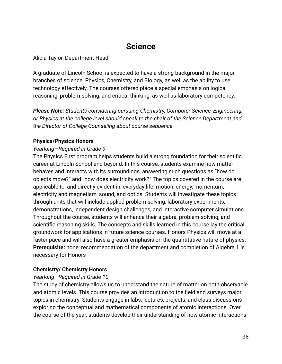# **Science**

<span id="page-37-0"></span>Alicia Taylor, Department Head

A graduate of Lincoln School is expected to have a strong background in the major branches of science: Physics, Chemistry, and Biology, as well as the ability to use technology effectively. The courses offered place a special emphasis on logical reasoning, problem-solving, and critical thinking, as well as laboratory competency.

*Please Note: Students considering pursuing Chemistry, Computer Science, Engineering, or Physics at the college level should speak to the chair of the Science Department and the Director of College Counseling about course sequence.*

# **Physics/Physics Honors**

# *Yearlong—Required in Grade 9*

The Physics First program helps students build a strong foundation for their scientific career at Lincoln School and beyond. In this course, students examine how matter behaves and interacts with its surroundings, answering such questions as "how do objects move?" and "how does electricity work?" The topics covered in the course are applicable to, and directly evident in, everyday life: motion, energy, momentum, electricity and magnetism, sound, and optics. Students will investigate these topics through units that will include applied problem solving, laboratory experiments, demonstrations, independent design challenges, and interactive computer simulations. Throughout the course, students will enhance their algebra, problem-solving, and scientific reasoning skills. The concepts and skills learned in this course lay the critical groundwork for applications in future science courses. Honors Physics will move at a faster pace and will also have a greater emphasis on the quantitative nature of physics. **Prerequisite:** none; recommendation of the department and completion of Algebra 1 is necessary for Honors

# **Chemistry/ Chemistry Honors**

# *Yearlong—Required in Grade 10*

The study of chemistry allows us to understand the nature of matter on both observable and atomic levels. This course provides an introduction to the field and surveys major topics in chemistry. Students engage in labs, lectures, projects, and class discussions exploring the conceptual and mathematical components of atomic interactions. Over the course of the year, students develop their understanding of how atomic interactions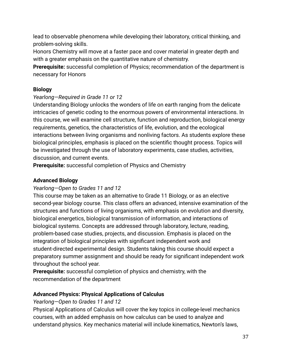lead to observable phenomena while developing their laboratory, critical thinking, and problem-solving skills.

Honors Chemistry will move at a faster pace and cover material in greater depth and with a greater emphasis on the quantitative nature of chemistry.

**Prerequisite:** successful completion of Physics; recommendation of the department is necessary for Honors

# **Biology**

# *Yearlong—Required in Grade 11 or 12*

Understanding Biology unlocks the wonders of life on earth ranging from the delicate intricacies of genetic coding to the enormous powers of environmental interactions. In this course, we will examine cell structure, function and reproduction, biological energy requirements, genetics, the characteristics of life, evolution, and the ecological interactions between living organisms and nonliving factors. As students explore these biological principles, emphasis is placed on the scientific thought process. Topics will be investigated through the use of laboratory experiments, case studies, activities, discussion, and current events.

**Prerequisite:** successful completion of Physics and Chemistry

# **Advanced Biology**

# *Yearlong—Open to Grades 11 and 12*

This course may be taken as an alternative to Grade 11 Biology, or as an elective second-year biology course. This class offers an advanced, intensive examination of the structures and functions of living organisms, with emphasis on evolution and diversity, biological energetics, biological transmission of information, and interactions of biological systems. Concepts are addressed through laboratory, lecture, reading, problem-based case studies, projects, and discussion. Emphasis is placed on the integration of biological principles with significant independent work and student-directed experimental design. Students taking this course should expect a preparatory summer assignment and should be ready for significant independent work throughout the school year.

**Prerequisite:** successful completion of physics and chemistry, with the recommendation of the department

# **Advanced Physics: Physical Applications of Calculus**

# *Yearlong—Open to Grades 11 and 12*

Physical Applications of Calculus will cover the key topics in college-level mechanics courses, with an added emphasis on how calculus can be used to analyze and understand physics. Key mechanics material will include kinematics, Newton's laws,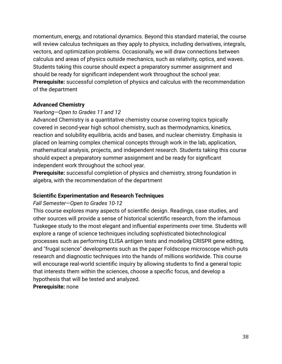momentum, energy, and rotational dynamics. Beyond this standard material, the course will review calculus techniques as they apply to physics, including derivatives, integrals, vectors, and optimization problems. Occasionally, we will draw connections between calculus and areas of physics outside mechanics, such as relativity, optics, and waves. Students taking this course should expect a preparatory summer assignment and should be ready for significant independent work throughout the school year. **Prerequisite:** successful completion of physics and calculus with the recommendation of the department

#### **Advanced Chemistry**

# *Yearlong—Open to Grades 11 and 12*

Advanced Chemistry is a quantitative chemistry course covering topics typically covered in second-year high school chemistry, such as thermodynamics, kinetics, reaction and solubility equilibria, acids and bases, and nuclear chemistry. Emphasis is placed on learning complex chemical concepts through work in the lab, application, mathematical analysis, projects, and independent research. Students taking this course should expect a preparatory summer assignment and be ready for significant independent work throughout the school year.

**Prerequisite:** successful completion of physics and chemistry, strong foundation in algebra, with the recommendation of the department

# **Scientific Experimentation and Research Techniques**

# *Fall Semester—Open to Grades 10-12*

This course explores many aspects of scientific design. Readings, case studies, and other sources will provide a sense of historical scientific research, from the infamous Tuskegee study to the most elegant and influential experiments over time. Students will explore a range of science techniques including sophisticated biotechnological processes such as performing ELISA antigen tests and modeling CRISPR gene editing, and "frugal science" developments such as the paper Foldscope microscope which puts research and diagnostic techniques into the hands of millions worldwide. This course will encourage real-world scientific inquiry by allowing students to find a general topic that interests them within the sciences, choose a specific focus, and develop a hypothesis that will be tested and analyzed.

**Prerequisite:** none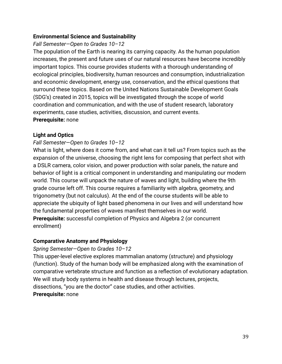#### **Environmental Science and Sustainability**

# *Fall Semester—Open to Grades 10–12*

The population of the Earth is nearing its carrying capacity. As the human population increases, the present and future uses of our natural resources have become incredibly important topics. This course provides students with a thorough understanding of ecological principles, biodiversity, human resources and consumption, industrialization and economic development, energy use, conservation, and the ethical questions that surround these topics. Based on the United Nations Sustainable Development Goals (SDG's) created in 2015, topics will be investigated through the scope of world coordination and communication, and with the use of student research, laboratory experiments, case studies, activities, discussion, and current events. **Prerequisite:** none

# **Light and Optics**

# *Fall Semester*—*Open to Grades 10–12*

What is light, where does it come from, and what can it tell us? From topics such as the expansion of the universe, choosing the right lens for composing that perfect shot with a DSLR camera, color vision, and power production with solar panels, the nature and behavior of light is a critical component in understanding and manipulating our modern world. This course will unpack the nature of waves and light, building where the 9th grade course left off. This course requires a familiarity with algebra, geometry, and trigonometry (but not calculus). At the end of the course students will be able to appreciate the ubiquity of light based phenomena in our lives and will understand how the fundamental properties of waves manifest themselves in our world. **Prerequisite:** successful completion of Physics and Algebra 2 (or concurrent enrollment)

# **Comparative Anatomy and Physiology**

# *Spring Semester—Open to Grades 10–12*

This upper-level elective explores mammalian anatomy (structure) and physiology (function). Study of the human body will be emphasized along with the examination of comparative vertebrate structure and function as a reflection of evolutionary adaptation. We will study body systems in health and disease through lectures, projects, dissections, "you are the doctor" case studies, and other activities. **Prerequisite:** none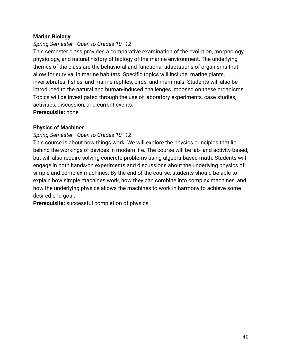# **Marine Biology**

### *Spring Semester—Open to Grades 10–12*

This semester class provides a comparative examination of the evolution, morphology, physiology, and natural history of biology of the marine environment. The underlying themes of the class are the behavioral and functional adaptations of organisms that allow for survival in marine habitats. Specific topics will include: marine plants, invertebrates, fishes, and marine reptiles, birds, and mammals. Students will also be introduced to the natural and human-induced challenges imposed on these organisms. Topics will be investigated through the use of laboratory experiments, case studies, activities, discussion, and current events.

**Prerequisite:** none

### **Physics of Machines**

#### *Spring Semester—Open to Grades 10–12*

This course is about how things work. We will explore the physics principles that lie behind the workings of devices in modern life. The course will be lab- and activity-based, but will also require solving concrete problems using algebra-based math. Students will engage in both hands-on experiments and discussions about the underlying physics of simple and complex machines. By the end of the course, students should be able to explain how simple machines work, how they can combine into complex machines, and how the underlying physics allows the machines to work in harmony to achieve some desired end goal.

**Prerequisite:** successful completion of physics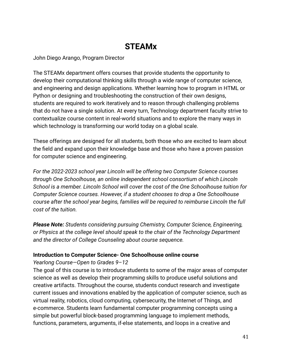# **STEAMx**

<span id="page-42-0"></span>John Diego Arango, Program Director

The STEAMx department offers courses that provide students the opportunity to develop their computational thinking skills through a wide range of computer science, and engineering and design applications. Whether learning how to program in HTML or Python or designing and troubleshooting the construction of their own designs, students are required to work iteratively and to reason through challenging problems that do not have a single solution. At every turn, Technology department faculty strive to contextualize course content in real-world situations and to explore the many ways in which technology is transforming our world today on a global scale.

These offerings are designed for all students, both those who are excited to learn about the field and expand upon their knowledge base and those who have a proven passion for computer science and engineering.

*For the 2022-2023 school year Lincoln will be offering two Computer Science courses through One Schoolhouse, an online independent school consortium of which Lincoln School is a member. Lincoln School will cover the cost of the One Schoolhouse tuition for Computer Science courses. However, if a student chooses to drop a One Schoolhouse course after the school year begins, families will be required to reimburse Lincoln the full cost of the tuition.*

*Please Note: Students considering pursuing Chemistry, Computer Science, Engineering, or Physics at the college level should speak to the chair of the Technology Department and the director of College Counseling about course sequence.*

#### **Introduction to Computer Science- One Schoolhouse online course**

*Yearlong Course—Open to Grades 9–12*

The goal of this course is to introduce students to some of the major areas of computer science as well as develop their programming skills to produce useful solutions and creative artifacts. Throughout the course, students conduct research and investigate current issues and innovations enabled by the application of computer science, such as virtual reality, robotics, cloud computing, cybersecurity, the Internet of Things, and e-commerce. Students learn fundamental computer programming concepts using a simple but powerful block-based programming language to implement methods, functions, parameters, arguments, if-else statements, and loops in a creative and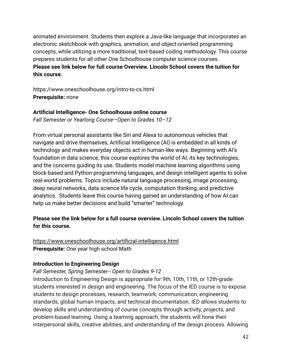animated environment. Students then explore a Java-like language that incorporates an electronic sketchbook with graphics, animation, and object-oriented programming concepts, while utilizing a more traditional, text-based coding methodology. This course prepares students for all other One Schoolhouse computer science courses. **Please see link below for full course Overview. Lincoln School covers the tuition for this course.**

https://www.oneschoolhouse.org/intro-to-cs.html **Prerequisite:** none

### **Artificial Intelligence- One Schoolhouse online course**

*Fall Semester or Yearlong Course—Open to Grades 10–12*

From virtual personal assistants like Siri and Alexa to autonomous vehicles that navigate and drive themselves, Artificial Intelligence (AI) is embedded in all kinds of technology and makes everyday objects act in human-like ways. Beginning with AI's foundation in data science, this course explores the world of AI, its key technologies, and the concerns guiding its use. Students model machine learning algorithms using block-based and Python programming languages, and design intelligent agents to solve real-world problems. Topics include natural language processing, image processing, deep neural networks, data science life cycle, computation thinking, and predictive analytics. Students leave this course having gained an understanding of how AI can help us make better decisions and build "smarter" technology.

# **Please see the link below for a full course overview. Lincoln School covers the tuition for this course.**

<https://www.oneschoolhouse.org/artificial-intelligence.html> **Prerequisite:** One year high school Math

# **Introduction to Engineering Design**

# *Fall Semester, Spring Semester-- Open to Grades 9-12*

Introduction to Engineering Design is appropriate for 9th, 10th, 11th, or 12th-grade students interested in design and engineering. The focus of the IED course is to expose students to design processes, research, teamwork, communication, engineering standards, global human impacts, and technical documentation. IED allows students to develop skills and understanding of course concepts through activity, projects, and problem-based learning. Using a teaming approach, the students will hone their interpersonal skills, creative abilities, and understanding of the design process. Allowing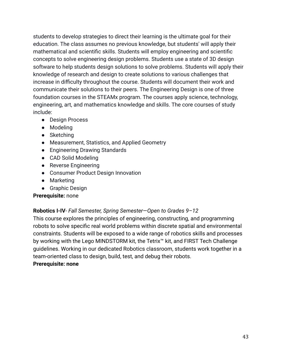students to develop strategies to direct their learning is the ultimate goal for their education. The class assumes no previous knowledge, but students' will apply their mathematical and scientific skills. Students will employ engineering and scientific concepts to solve engineering design problems. Students use a state of 3D design software to help students design solutions to solve problems. Students will apply their knowledge of research and design to create solutions to various challenges that increase in difficulty throughout the course. Students will document their work and communicate their solutions to their peers. The Engineering Design is one of three foundation courses in the STEAMx program. The courses apply science, technology, engineering, art, and mathematics knowledge and skills. The core courses of study include:

- Design Process
- Modeling
- Sketching
- Measurement, Statistics, and Applied Geometry
- Engineering Drawing Standards
- CAD Solid Modeling
- Reverse Engineering
- Consumer Product Design Innovation
- Marketing
- Graphic Design

# **Prerequisite:** none

# **Robotics I-IV**- *Fall Semester, Spring Semester*—*Open to Grades 9–12*

This course explores the principles of engineering, constructing, and programming robots to solve specific real world problems within discrete spatial and environmental constraints. Students will be exposed to a wide range of robotics skills and processes by working with the Lego MINDSTORM kit, the Tetrix™ kit, and FIRST Tech Challenge guidelines. Working in our dedicated Robotics classroom, students work together in a team-oriented class to design, build, test, and debug their robots.

# **Prerequisite: none**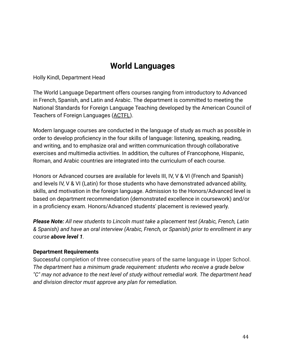# **World Languages**

Holly Kindl, Department Head

The World Language Department offers courses ranging from introductory to Advanced in French, Spanish, and Latin and Arabic. The department is committed to meeting the National Standards for Foreign Language Teaching developed by the American Council of Teachers of Foreign Languages ([ACTFL](https://drive.google.com/file/d/1e_SgV4H1UvMW2pGSrWM2VLqM2-_u-JqY/view?usp=sharing)).

Modern language courses are conducted in the language of study as much as possible in order to develop proficiency in the four skills of language: listening, speaking, reading, and writing, and to emphasize oral and written communication through collaborative exercises and multimedia activities. In addition, the cultures of Francophone, Hispanic, Roman, and Arabic countries are integrated into the curriculum of each course.

Honors or Advanced courses are available for levels III, IV, V & VI (French and Spanish) and levels IV, V & VI (Latin) for those students who have demonstrated advanced ability, skills, and motivation in the foreign language. Admission to the Honors/Advanced level is based on department recommendation (demonstrated excellence in coursework) and/or in a proficiency exam. Honors/Advanced students' placement is reviewed yearly.

*Please Note: All new students to Lincoln must take a placement test (Arabic, French, Latin & Spanish) and have an oral interview (Arabic, French, or Spanish) prior to enrollment in any course above level 1.*

#### **Department Requirements**

Successful completion of three consecutive years of the same language in Upper School. *The department has a minimum grade requirement: students who receive a grade below "C" may not advance to the next level of study without remedial work. The department head and division director must approve any plan for remediation.*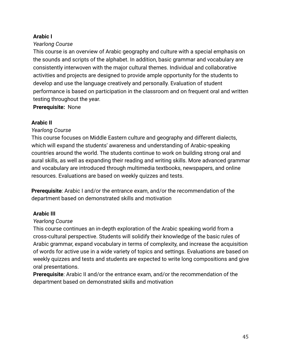# **Arabic I**

#### *Yearlong Course*

This course is an overview of Arabic geography and culture with a special emphasis on the sounds and scripts of the alphabet. In addition, basic grammar and vocabulary are consistently interwoven with the major cultural themes. Individual and collaborative activities and projects are designed to provide ample opportunity for the students to develop and use the language creatively and personally. Evaluation of student performance is based on participation in the classroom and on frequent oral and written testing throughout the year.

**Prerequisite:** None

### **Arabic II**

### *Yearlong Course*

This course focuses on Middle Eastern culture and geography and different dialects, which will expand the students' awareness and understanding of Arabic-speaking countries around the world. The students continue to work on building strong oral and aural skills, as well as expanding their reading and writing skills. More advanced grammar and vocabulary are introduced through multimedia textbooks, newspapers, and online resources. Evaluations are based on weekly quizzes and tests.

**Prerequisite**: Arabic I and/or the entrance exam, and/or the recommendation of the department based on demonstrated skills and motivation

# **Arabic III**

# *Yearlong Course*

This course continues an in-depth exploration of the Arabic speaking world from a cross-cultural perspective. Students will solidify their knowledge of the basic rules of Arabic grammar, expand vocabulary in terms of complexity, and increase the acquisition of words for active use in a wide variety of topics and settings. Evaluations are based on weekly quizzes and tests and students are expected to write long compositions and give oral presentations.

**Prerequisite**: Arabic II and/or the entrance exam, and/or the recommendation of the department based on demonstrated skills and motivation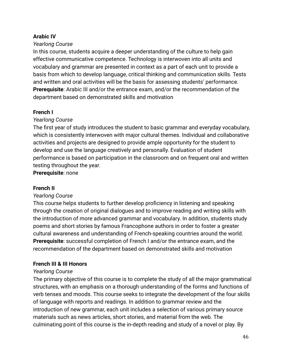### **Arabic IV**

### *Yearlong Course*

In this course, students acquire a deeper understanding of the culture to help gain effective communicative competence. Technology is interwoven into all units and vocabulary and grammar are presented in context as a part of each unit to provide a basis from which to develop language, critical thinking and communication skills. Tests and written and oral activities will be the basis for assessing students' performance. **Prerequisite**: Arabic III and/or the entrance exam, and/or the recommendation of the department based on demonstrated skills and motivation

# **French I**

# *Yearlong Course*

The first year of study introduces the student to basic grammar and everyday vocabulary, which is consistently interwoven with major cultural themes. Individual and collaborative activities and projects are designed to provide ample opportunity for the student to develop and use the language creatively and personally. Evaluation of student performance is based on participation in the classroom and on frequent oral and written testing throughout the year.

**Prerequisite**: none

# **French II**

# *Yearlong Course*

This course helps students to further develop proficiency in listening and speaking through the creation of original dialogues and to improve reading and writing skills with the introduction of more advanced grammar and vocabulary. In addition, students study poems and short stories by famous Francophone authors in order to foster a greater cultural awareness and understanding of French-speaking countries around the world. **Prerequisite**: successful completion of French I and/or the entrance exam, and the recommendation of the department based on demonstrated skills and motivation

# **French III & III Honors**

# *Yearlong Course*

The primary objective of this course is to complete the study of all the major grammatical structures, with an emphasis on a thorough understanding of the forms and functions of verb tenses and moods. This course seeks to integrate the development of the four skills of language with reports and readings. In addition to grammar review and the introduction of new grammar, each unit includes a selection of various primary source materials such as news articles, short stories, and material from the web. The culminating point of this course is the in-depth reading and study of a novel or play. By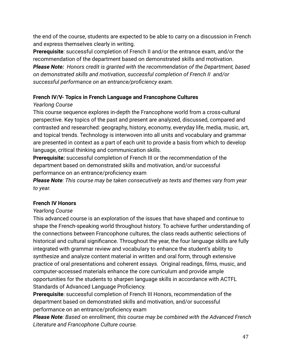the end of the course, students are expected to be able to carry on a discussion in French and express themselves clearly in writing.

**Prerequisite**: successful completion of French II and/or the entrance exam, and/or the recommendation of the department based on demonstrated skills and motivation. *Please Note: Honors credit is granted with the recommendation of the Department, based on demonstrated skills and motivation, successful completion of French II and/or successful performance on an entrance/proficiency exam.*

# **French IV/V- Topics in French Language and Francophone Cultures**

# *Yearlong Course*

This course sequence explores in-depth the Francophone world from a cross-cultural perspective. Key topics of the past and present are analyzed, discussed, compared and contrasted and researched: geography, history, economy, everyday life, media, music, art, and topical trends. Technology is interwoven into all units and vocabulary and grammar are presented in context as a part of each unit to provide a basis from which to develop language, critical thinking and communication skills.

**Prerequisite:** successful completion of French III or the recommendation of the department based on demonstrated skills and motivation, and/or successful performance on an entrance/proficiency exam

*Please Note: This course may be taken consecutively as texts and themes vary from year to year.*

# **French IV Honors**

# *Yearlong Course*

This advanced course is an exploration of the issues that have shaped and continue to shape the French-speaking world throughout history. To achieve further understanding of the connections between Francophone cultures, the class reads authentic selections of historical and cultural significance. Throughout the year, the four language skills are fully integrated with grammar review and vocabulary to enhance the student's ability to synthesize and analyze content material in written and oral form, through extensive practice of oral presentations and coherent essays. Original readings, films, music, and computer-accessed materials enhance the core curriculum and provide ample opportunities for the students to sharpen language skills in accordance with ACTFL Standards of Advanced Language Proficiency.

**Prerequisite**: successful completion of French III Honors, recommendation of the department based on demonstrated skills and motivation, and/or successful performance on an entrance/proficiency exam

*Please Note: Based on enrollment, this course may be combined with the Advanced French Literature and Francophone Culture course.*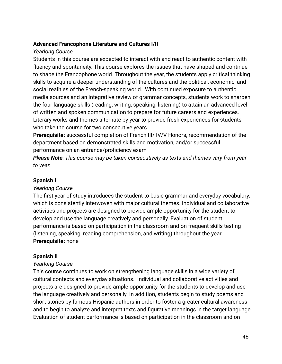# **Advanced Francophone Literature and Cultures I/II**

# *Yearlong Course*

Students in this course are expected to interact with and react to authentic content with fluency and spontaneity. This course explores the issues that have shaped and continue to shape the Francophone world. Throughout the year, the students apply critical thinking skills to acquire a deeper understanding of the cultures and the political, economic, and social realities of the French-speaking world. With continued exposure to authentic media sources and an integrative review of grammar concepts, students work to sharpen the four language skills (reading, writing, speaking, listening) to attain an advanced level of written and spoken communication to prepare for future careers and experiences. Literary works and themes alternate by year to provide fresh experiences for students who take the course for two consecutive years.

**Prerequisite:** successful completion of French III/ IV/V Honors, recommendation of the department based on demonstrated skills and motivation, and/or successful performance on an entrance/proficiency exam

*Please Note: This course may be taken consecutively as texts and themes vary from year to year.*

# **Spanish I**

# *Yearlong Course*

The first year of study introduces the student to basic grammar and everyday vocabulary, which is consistently interwoven with major cultural themes. Individual and collaborative activities and projects are designed to provide ample opportunity for the student to develop and use the language creatively and personally. Evaluation of student performance is based on participation in the classroom and on frequent skills testing (listening, speaking, reading comprehension, and writing) throughout the year. **Prerequisite:** none

# **Spanish II**

# *Yearlong Course*

This course continues to work on strengthening language skills in a wide variety of cultural contexts and everyday situations. Individual and collaborative activities and projects are designed to provide ample opportunity for the students to develop and use the language creatively and personally. In addition, students begin to study poems and short stories by famous Hispanic authors in order to foster a greater cultural awareness and to begin to analyze and interpret texts and figurative meanings in the target language. Evaluation of student performance is based on participation in the classroom and on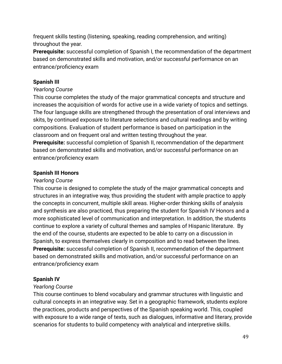frequent skills testing (listening, speaking, reading comprehension, and writing) throughout the year.

**Prerequisite:** successful completion of Spanish I, the recommendation of the department based on demonstrated skills and motivation, and/or successful performance on an entrance/proficiency exam

# **Spanish III**

# *Yearlong Course*

This course completes the study of the major grammatical concepts and structure and increases the acquisition of words for active use in a wide variety of topics and settings. The four language skills are strengthened through the presentation of oral interviews and skits, by continued exposure to literature selections and cultural readings and by writing compositions. Evaluation of student performance is based on participation in the classroom and on frequent oral and written testing throughout the year.

**Prerequisite:** successful completion of Spanish II, recommendation of the department based on demonstrated skills and motivation, and/or successful performance on an entrance/proficiency exam

# **Spanish III Honors**

# *Yearlong Course*

This course is designed to complete the study of the major grammatical concepts and structures in an integrative way, thus providing the student with ample practice to apply the concepts in concurrent, multiple skill areas. Higher-order thinking skills of analysis and synthesis are also practiced, thus preparing the student for Spanish IV Honors and a more sophisticated level of communication and interpretation. In addition, the students continue to explore a variety of cultural themes and samples of Hispanic literature. By the end of the course, students are expected to be able to carry on a discussion in Spanish, to express themselves clearly in composition and to read between the lines. **Prerequisite:** successful completion of Spanish II, recommendation of the department based on demonstrated skills and motivation, and/or successful performance on an entrance/proficiency exam

# **Spanish IV**

# *Yearlong Course*

This course continues to blend vocabulary and grammar structures with linguistic and cultural concepts in an integrative way. Set in a geographic framework, students explore the practices, products and perspectives of the Spanish speaking world. This, coupled with exposure to a wide range of texts, such as dialogues, informative and literary, provide scenarios for students to build competency with analytical and interpretive skills.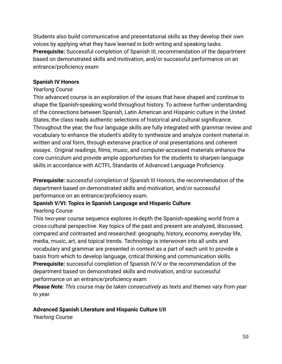Students also build communicative and presentational skills as they develop their own voices by applying what they have learned in both writing and speaking tasks. **Prerequisite:** Successful completion of Spanish III, recommendation of the department based on demonstrated skills and motivation, and/or successful performance on an entrance/proficiency exam

# **Spanish IV Honors**

# *Yearlong Course*

This advanced course is an exploration of the issues that have shaped and continue to shape the Spanish-speaking world throughout history. To achieve further understanding of the connections between Spanish, Latin American and Hispanic culture in the United States, the class reads authentic selections of historical and cultural significance. Throughout the year, the four language skills are fully integrated with grammar review and vocabulary to enhance the student's ability to synthesize and analyze content material in written and oral form, through extensive practice of oral presentations and coherent essays. Original readings, films, music, and computer-accessed materials enhance the core curriculum and provide ample opportunities for the students to sharpen language skills in accordance with ACTFL Standards of Advanced Language Proficiency.

**Prerequisite:** successful completion of Spanish III Honors, the recommendation of the department based on demonstrated skills and motivation, and/or successful performance on an entrance/proficiency exam.

# **Spanish V/VI: Topics in Spanish Language and Hispanic Culture** *Yearlong Course*

This two-year course sequence explores in-depth the Spanish-speaking world from a cross-cultural perspective. Key topics of the past and present are analyzed, discussed, compared and contrasted and researched: geography, history, economy, everyday life, media, music, art, and topical trends. Technology is interwoven into all units and vocabulary and grammar are presented in context as a part of each unit to provide a basis from which to develop language, critical thinking and communication skills. **Prerequisite:** successful completion of Spanish IV/V or the recommendation of the department based on demonstrated skills and motivation, and/or successful performance on an entrance/proficiency exam

*Please Note: This course may be taken consecutively as texts and themes vary from year to year.*

# **Advanced Spanish Literature and Hispanic Culture I/II**

*Yearlong Course*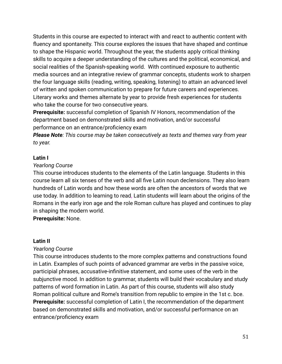Students in this course are expected to interact with and react to authentic content with fluency and spontaneity. This course explores the issues that have shaped and continue to shape the Hispanic world. Throughout the year, the students apply critical thinking skills to acquire a deeper understanding of the cultures and the political, economical, and social realities of the Spanish-speaking world. With continued exposure to authentic media sources and an integrative review of grammar concepts, students work to sharpen the four language skills (reading, writing, speaking, listening) to attain an advanced level of written and spoken communication to prepare for future careers and experiences. Literary works and themes alternate by year to provide fresh experiences for students who take the course for two consecutive years.

**Prerequisite:** successful completion of Spanish IV Honors, recommendation of the department based on demonstrated skills and motivation, and/or successful performance on an entrance/proficiency exam

*Please Note: This course may be taken consecutively as texts and themes vary from year to year.*

### **Latin I**

#### *Yearlong Course*

This course introduces students to the elements of the Latin language. Students in this course learn all six tenses of the verb and all five Latin noun declensions. They also learn hundreds of Latin words and how these words are often the ancestors of words that we use today. In addition to learning to read, Latin students will learn about the origins of the Romans in the early iron age and the role Roman culture has played and continues to play in shaping the modern world.

**Prerequisite:** None.

#### **Latin II**

# *Yearlong Course*

This course introduces students to the more complex patterns and constructions found in Latin. Examples of such points of advanced grammar are verbs in the passive voice, participial phrases, accusative-infinitive statement, and some uses of the verb in the subjunctive mood. In addition to grammar, students will build their vocabulary and study patterns of word formation in Latin. As part of this course, students will also study Roman political culture and Rome's transition from republic to empire in the 1st c. bce. **Prerequisite:** successful completion of Latin I, the recommendation of the department based on demonstrated skills and motivation, and/or successful performance on an entrance/proficiency exam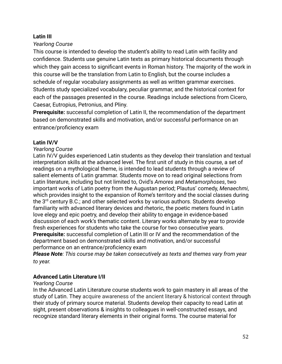### **Latin III**

#### *Yearlong Course*

This course is intended to develop the student's ability to read Latin with facility and confidence. Students use genuine Latin texts as primary historical documents through which they gain access to significant events in Roman history. The majority of the work in this course will be the translation from Latin to English, but the course includes a schedule of regular vocabulary assignments as well as written grammar exercises. Students study specialized vocabulary, peculiar grammar, and the historical context for each of the passages presented in the course. Readings include selections from Cicero, Caesar, Eutropius, Petronius, and Pliny.

**Prerequisite:** successful completion of Latin II, the recommendation of the department based on demonstrated skills and motivation, and/or successful performance on an entrance/proficiency exam

### **Latin IV/V**

#### *Yearlong Course*

Latin IV/V guides experienced Latin students as they develop their translation and textual interpretation skills at the advanced level. The first unit of study in this course, a set of readings on a mythological theme, is intended to lead students through a review of salient elements of Latin grammar. Students move on to read original selections from Latin literature, including but not limited to, Ovid's *Amores* and *Metamorphoses*, two important works of Latin poetry from the Augustan period; Plautus' comedy, *Menaechmi*, which provides insight to the expansion of Rome's territory and the social classes during the 3<sup>rd</sup> century B.C.; and other selected works by various authors. Students develop familiarity with advanced literary devices and rhetoric, the poetic meters found in Latin love elegy and epic poetry, and develop their ability to engage in evidence-based discussion of each work's thematic content. Literary works alternate by year to provide fresh experiences for students who take the course for two consecutive years. **Prerequisite:** successful completion of Latin III or IV and the recommendation of the department based on demonstrated skills and motivation, and/or successful performance on an entrance/proficiency exam

*Please Note: This course may be taken consecutively as texts and themes vary from year to year.*

#### **Advanced Latin Literature I/II**

#### *Yearlong Course*

In the Advanced Latin Literature course students work to gain mastery in all areas of the study of Latin. They acquire awareness of the ancient literary & historical context through their study of primary source material. Students develop their capacity to read Latin at sight, present observations & insights to colleagues in well-constructed essays, and recognize standard literary elements in their original forms. The course material for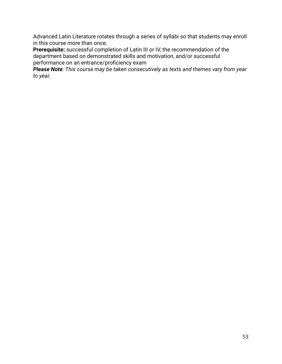Advanced Latin Literature rotates through a series of syllabi so that students may enroll in this course more than once.

**Prerequisite:** successful completion of Latin III or IV, the recommendation of the department based on demonstrated skills and motivation, and/or successful performance on an entrance/proficiency exam

*Please Note: This course may be taken consecutively as texts and themes vary from year to year.*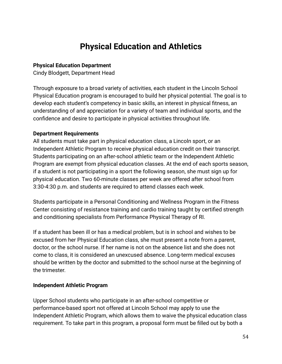# **Physical Education and Athletics**

### <span id="page-55-0"></span>**Physical Education Department**

Cindy Blodgett, Department Head

Through exposure to a broad variety of activities, each student in the Lincoln School Physical Education program is encouraged to build her physical potential. The goal is to develop each student's competency in basic skills, an interest in physical fitness, an understanding of and appreciation for a variety of team and individual sports, and the confidence and desire to participate in physical activities throughout life.

### **Department Requirements**

All students must take part in physical education class, a Lincoln sport, or an Independent Athletic Program to receive physical education credit on their transcript. Students participating on an after-school athletic team or the Independent Athletic Program are exempt from physical education classes. At the end of each sports season, if a student is not participating in a sport the following season, she must sign up for physical education. Two 60-minute classes per week are offered after school from 3:30-4:30 p.m. and students are required to attend classes each week.

Students participate in a Personal Conditioning and Wellness Program in the Fitness Center consisting of resistance training and cardio training taught by certified strength and conditioning specialists from Performance Physical Therapy of RI.

If a student has been ill or has a medical problem, but is in school and wishes to be excused from her Physical Education class, she must present a note from a parent, doctor, or the school nurse. If her name is not on the absence list and she does not come to class, it is considered an unexcused absence. Long-term medical excuses should be written by the doctor and submitted to the school nurse at the beginning of the trimester.

#### **Independent Athletic Program**

Upper School students who participate in an after-school competitive or performance-based sport not offered at Lincoln School may apply to use the Independent Athletic Program, which allows them to waive the physical education class requirement. To take part in this program, a proposal form must be filled out by both a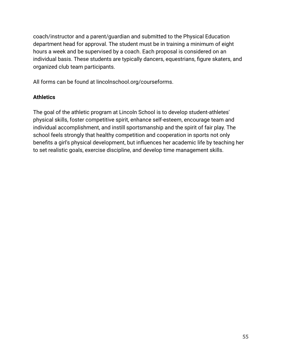coach/instructor and a parent/guardian and submitted to the Physical Education department head for approval. The student must be in training a minimum of eight hours a week and be supervised by a coach. Each proposal is considered on an individual basis. These students are typically dancers, equestrians, figure skaters, and organized club team participants.

All forms can be found at lincolnschool.org/courseforms.

# **Athletics**

The goal of the athletic program at Lincoln School is to develop student-athletes' physical skills, foster competitive spirit, enhance self-esteem, encourage team and individual accomplishment, and instill sportsmanship and the spirit of fair play. The school feels strongly that healthy competition and cooperation in sports not only benefits a girl's physical development, but influences her academic life by teaching her to set realistic goals, exercise discipline, and develop time management skills.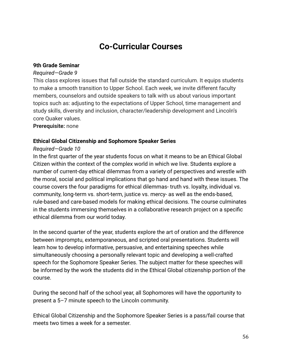# **Co-Curricular Courses**

#### <span id="page-57-0"></span>**9th Grade Seminar**

#### *Required—Grade 9*

This class explores issues that fall outside the standard curriculum. It equips students to make a smooth transition to Upper School. Each week, we invite different faculty members, counselors and outside speakers to talk with us about various important topics such as: adjusting to the expectations of Upper School, time management and study skills, diversity and inclusion, character/leadership development and Lincoln's core Quaker values.

**Prerequisite:** none

#### **Ethical Global Citizenship and Sophomore Speaker Series**

#### *Required—Grade 10*

In the first quarter of the year students focus on what it means to be an Ethical Global Citizen within the context of the complex world in which we live. Students explore a number of current-day ethical dilemmas from a variety of perspectives and wrestle with the moral, social and political implications that go hand and hand with these issues. The course covers the four paradigms for ethical dilemmas- truth vs. loyalty, individual vs. community, long-term vs. short-term, justice vs. mercy- as well as the ends-based, rule-based and care-based models for making ethical decisions. The course culminates in the students immersing themselves in a collaborative research project on a specific ethical dilemma from our world today.

In the second quarter of the year, students explore the art of oration and the difference between impromptu, extemporaneous, and scripted oral presentations. Students will learn how to develop informative, persuasive, and entertaining speeches while simultaneously choosing a personally relevant topic and developing a well-crafted speech for the Sophomore Speaker Series. The subject matter for these speeches will be informed by the work the students did in the Ethical Global citizenship portion of the course.

During the second half of the school year, all Sophomores will have the opportunity to present a 5–7 minute speech to the Lincoln community.

Ethical Global Citizenship and the Sophomore Speaker Series is a pass/fail course that meets two times a week for a semester.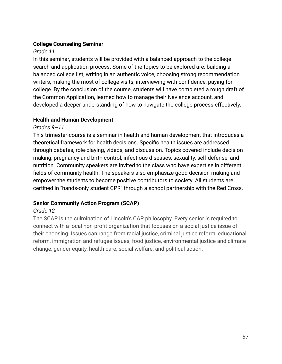# **College Counseling Seminar**

# *Grade 11*

In this seminar, students will be provided with a balanced approach to the college search and application process. Some of the topics to be explored are: building a balanced college list, writing in an authentic voice, choosing strong recommendation writers, making the most of college visits, interviewing with confidence, paying for college. By the conclusion of the course, students will have completed a rough draft of the Common Application, learned how to manage their Naviance account, and developed a deeper understanding of how to navigate the college process effectively.

# **Health and Human Development**

# *Grades 9–11*

This trimester-course is a seminar in health and human development that introduces a theoretical framework for health decisions. Specific health issues are addressed through debates, role-playing, videos, and discussion. Topics covered include decision making, pregnancy and birth control, infectious diseases, sexuality, self-defense, and nutrition. Community speakers are invited to the class who have expertise in different fields of community health. The speakers also emphasize good decision-making and empower the students to become positive contributors to society. All students are certified in "hands-only student CPR" through a school partnership with the Red Cross.

# **Senior Community Action Program (SCAP)**

# *Grade 12*

The SCAP is the culmination of Lincoln's CAP philosophy. Every senior is required to connect with a local non-profit organization that focuses on a social justice issue of their choosing. Issues can range from racial justice, criminal justice reform, educational reform, immigration and refugee issues, food justice, environmental justice and climate change, gender equity, health care, social welfare, and political action.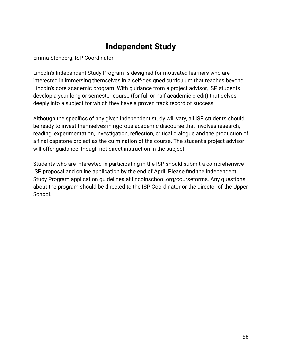# **Independent Study**

<span id="page-59-0"></span>Emma Stenberg, ISP Coordinator

Lincoln's Independent Study Program is designed for motivated learners who are interested in immersing themselves in a self-designed curriculum that reaches beyond Lincoln's core academic program. With guidance from a project advisor, ISP students develop a year-long or semester course (for full or half academic credit) that delves deeply into a subject for which they have a proven track record of success.

Although the specifics of any given independent study will vary, all ISP students should be ready to invest themselves in rigorous academic discourse that involves research, reading, experimentation, investigation, reflection, critical dialogue and the production of a final capstone project as the culmination of the course. The student's project advisor will offer guidance, though not direct instruction in the subject.

Students who are interested in participating in the ISP should submit a comprehensive ISP proposal and online application by the end of April. Please find the Independent Study Program application guidelines at lincolnschool.org/courseforms. Any questions about the program should be directed to the ISP Coordinator or the director of the Upper School.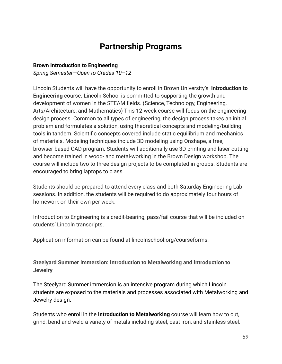# **Partnership Programs**

#### <span id="page-60-0"></span>**Brown Introduction to Engineering**

*Spring Semester—Open to Grades 10–12*

Lincoln Students will have the opportunity to enroll in Brown University's **Introduction to Engineering** course. Lincoln School is committed to supporting the growth and development of women in the STEAM fields. (Science, Technology, Engineering, Arts/Architecture, and Mathematics) This 12-week course will focus on the engineering design process. Common to all types of engineering, the design process takes an initial problem and formulates a solution, using theoretical concepts and modeling/building tools in tandem. Scientific concepts covered include static equilibrium and mechanics of materials. Modeling techniques include 3D modeling using Onshape, a free, browser-based CAD program. Students will additionally use 3D printing and laser-cutting and become trained in wood- and metal-working in the Brown Design workshop. The course will include two to three design projects to be completed in groups. Students are encouraged to bring laptops to class.

Students should be prepared to attend every class and both Saturday Engineering Lab sessions. In addition, the students will be required to do approximately four hours of homework on their own per week.

Introduction to Engineering is a credit-bearing, pass/fail course that will be included on students' Lincoln transcripts.

Application information can be found at lincolnschool.org/courseforms.

**Steelyard Summer immersion: Introduction to Metalworking and Introduction to Jewelry**

The Steelyard Summer immersion is an intensive program during which Lincoln students are exposed to the materials and processes associated with Metalworking and Jewelry design.

Students who enroll in the **Introduction to Metalworking** course will learn how to cut, grind, bend and weld a variety of metals including steel, cast iron, and stainless steel.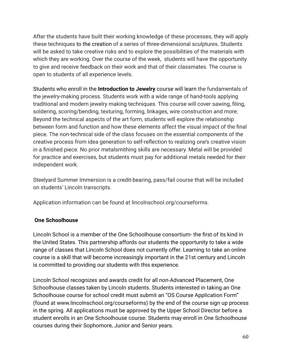After the students have built their working knowledge of these processes, they will apply these techniques to the creation of a series of three-dimensional sculptures. Students will be asked to take creative risks and to explore the possibilities of the materials with which they are working. Over the course of the week, students will have the opportunity to give and receive feedback on their work and that of their classmates. The course is open to students of all experience levels.

Students who enroll in the **Introduction to Jewelry** course will learn the fundamentals of the jewelry-making process. Students work with a wide range of hand-tools applying traditional and modern jewelry making techniques. This course will cover sawing, filing, soldering, scoring/bending, texturing, forming, linkages, wire construction and more. Beyond the technical aspects of the art form, students will explore the relationship between form and function and how these elements affect the visual impact of the final piece. The non-technical side of the class focuses on the essential components of the creative process from idea generation to self-reflection to realizing one's creative vision in a finished piece. No prior metalsmithing skills are necessary. Metal will be provided for practice and exercises, but students must pay for additional metals needed for their independent work.

Steelyard Summer Immersion is a credit-bearing, pass/fail course that will be included on students' Lincoln transcripts.

Application information can be found at lincolnschool.org/courseforms.

# **One Schoolhouse**

Lincoln School is a member of the One Schoolhouse consortium- the first of its kind in the United States. This partnership affords our students the opportunity to take a wide range of classes that Lincoln School does not currently offer. Learning to take an online course is a skill that will become increasingly important in the 21st century and Lincoln is committed to providing our students with this experience.

Lincoln School recognizes and awards credit for all non-Advanced Placement, One Schoolhouse classes taken by Lincoln students. Students interested in taking an One Schoolhouse course for school credit must submit an "OS Course Application Form" (found at www.lincolnschool.org/courseforms) by the end of the course sign up process in the spring. All applications must be approved by the Upper School Director before a student enrolls in an One Schoolhouse course. Students may enroll in One Schoolhouse courses during their Sophomore, Junior and Senior years.